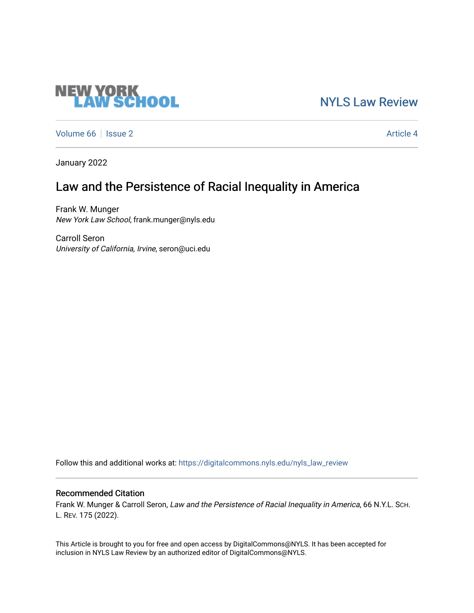# **NEW YORK<br>LAW SCHOOL**

[NYLS Law Review](https://digitalcommons.nyls.edu/nyls_law_review) 

[Volume 66](https://digitalcommons.nyls.edu/nyls_law_review/vol66) | [Issue 2](https://digitalcommons.nyls.edu/nyls_law_review/vol66/iss2) Article 4

January 2022

# Law and the Persistence of Racial Inequality in America

Frank W. Munger New York Law School, frank.munger@nyls.edu

Carroll Seron University of California, Irvine, seron@uci.edu

Follow this and additional works at: [https://digitalcommons.nyls.edu/nyls\\_law\\_review](https://digitalcommons.nyls.edu/nyls_law_review?utm_source=digitalcommons.nyls.edu%2Fnyls_law_review%2Fvol66%2Fiss2%2F4&utm_medium=PDF&utm_campaign=PDFCoverPages) 

# Recommended Citation

Frank W. Munger & Carroll Seron, Law and the Persistence of Racial Inequality in America, 66 N.Y.L. SCH. L. REV. 175 (2022).

This Article is brought to you for free and open access by DigitalCommons@NYLS. It has been accepted for inclusion in NYLS Law Review by an authorized editor of DigitalCommons@NYLS.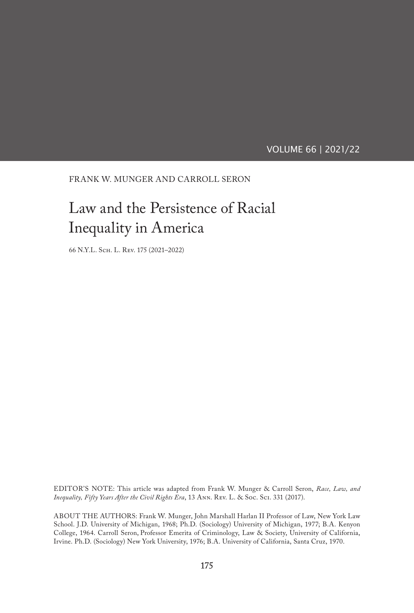VOLUME 66 | 2021/22

FRANK W. MUNGER AND CARROLL SERON

# Law and the Persistence of Racial Inequality in America

66 N.Y.L. Sch. L. Rev. 175 (2021–2022)

EDITOR'S NOTE: This article was adapted from Frank W. Munger & Carroll Seron, *Race, Law, and Inequality, Fifty Years After the Civil Rights Era*, 13 Ann. Rev. L. & Soc. Sci. 331 (2017).

ABOUT THE AUTHORS: Frank W. Munger, John Marshall Harlan II Professor of Law, New York Law School. J.D. University of Michigan, 1968; Ph.D. (Sociology) University of Michigan, 1977; B.A. Kenyon College, 1964. Carroll Seron, Professor Emerita of Criminology, Law & Society, University of California, Irvine. Ph.D. (Sociology) New York University, 1976; B.A. University of California, Santa Cruz, 1970.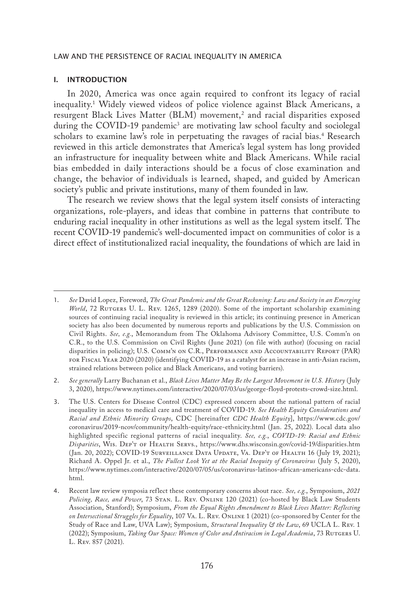#### I. INTRODUCTION

In 2020, America was once again required to confront its legacy of racial inequality.1 Widely viewed videos of police violence against Black Americans, a resurgent Black Lives Matter (BLM) movement, $^2$  and racial disparities exposed during the COVID-19 pandemic<sup>3</sup> are motivating law school faculty and sociolegal scholars to examine law's role in perpetuating the ravages of racial bias.<sup>4</sup> Research reviewed in this article demonstrates that America's legal system has long provided an infrastructure for inequality between white and Black Americans. While racial bias embedded in daily interactions should be a focus of close examination and change, the behavior of individuals is learned, shaped, and guided by American society's public and private institutions, many of them founded in law.

The research we review shows that the legal system itself consists of interacting organizations, role-players, and ideas that combine in patterns that contribute to enduring racial inequality in other institutions as well as the legal system itself. The recent COVID-19 pandemic's well-documented impact on communities of color is a direct effect of institutionalized racial inequality, the foundations of which are laid in

2. *See generally* Larry Buchanan et al., *Black Lives Matter May Be the Largest Movement in U.S. History* (July 3, 2020), https://www.nytimes.com/interactive/2020/07/03/us/george-floyd-protests-crowd-size.html.

<sup>1.</sup> *See* David Lopez, Foreword, *The Great Pandemic and the Great Reckoning: Law and Society in an Emerging World*, 72 RUTGERS U. L. REV. 1265, 1289 (2020). Some of the important scholarship examining sources of continuing racial inequality is reviewed in this article; its continuing presence in American society has also been documented by numerous reports and publications by the U.S. Commission on Civil Rights. *See, e.g.*, Memorandum from The Oklahoma Advisory Committee, U.S. Comm'n on C.R., to the U.S. Commission on Civil Rights (June 2021) (on file with author) (focusing on racial disparities in policing); U.S. Comm'n on C.R., Performance and Accountability Report (PAR) for Fiscal Year 2020 (2020) (identifying COVID-19 as a catalyst for an increase in anti-Asian racism, strained relations between police and Black Americans, and voting barriers).

<sup>3.</sup> The U.S. Centers for Disease Control (CDC) expressed concern about the national pattern of racial inequality in access to medical care and treatment of COVID-19. *See Health Equity Considerations and Racial and Ethnic Minority Groups*, CDC [hereinafter *CDC Health Equity*], https://www.cdc.gov/ coronavirus/2019-ncov/community/health-equity/race-ethnicity.html (Jan. 25, 2022). Local data also highlighted specific regional patterns of racial inequality. *See, e.g.*, *COVID-19: Racial and Ethnic Disparities*, Wis. Dep't of Health Servs., https://www.dhs.wisconsin.gov/covid-19/disparities.htm (Jan. 20, 2022); COVID-19 Surveillance Data Update, Va. Dep't of Health 16 (July 19, 2021); Richard A. Oppel Jr. et al., *The Fullest Look Yet at the Racial Inequity of Coronavirus* (July 5, 2020), https://www.nytimes.com/interactive/2020/07/05/us/coronavirus-latinos-african-americans-cdc-data. html.

<sup>4.</sup> Recent law review symposia reflect these contemporary concerns about race. *See, e.g.*, Symposium, *2021*  Policing, Race, and Power, 73 STAN. L. REV. ONLINE 120 (2021) (co-hosted by Black Law Students Association, Stanford); Symposium, *From the Equal Rights Amendment to Black Lives Matter: Reflecting on Intersectional Struggles for Equality*, 107 Va. L. Rev. Online 1 (2021) (co-sponsored by Center for the Study of Race and Law, UVA Law); Symposium, *Structural Inequality & the Law*, 69 UCLA L. Rev. 1 (2022); Symposium, *Taking Our Space: Women of Color and Antiracism in Legal Academia*, 73 Rutgers U. L. Rev. 857 (2021).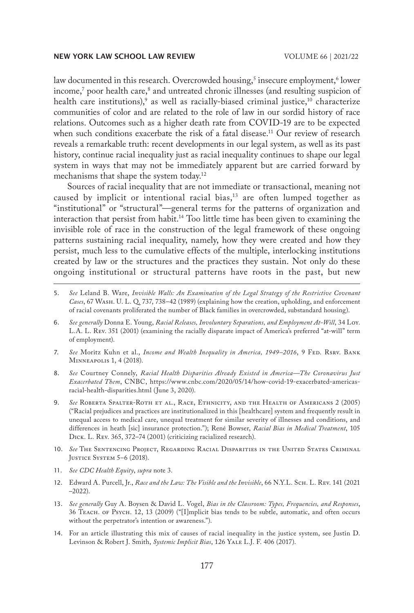law documented in this research. Overcrowded housing,<sup>5</sup> insecure employment,<sup>6</sup> lower income,<sup>7</sup> poor health care,<sup>8</sup> and untreated chronic illnesses (and resulting suspicion of health care institutions), $\degree$  as well as racially-biased criminal justice, $\degree$  characterize communities of color and are related to the role of law in our sordid history of race relations. Outcomes such as a higher death rate from COVID-19 are to be expected when such conditions exacerbate the risk of a fatal disease.<sup>11</sup> Our review of research reveals a remarkable truth: recent developments in our legal system, as well as its past history, continue racial inequality just as racial inequality continues to shape our legal system in ways that may not be immediately apparent but are carried forward by mechanisms that shape the system today.<sup>12</sup>

Sources of racial inequality that are not immediate or transactional, meaning not caused by implicit or intentional racial bias,<sup>13</sup> are often lumped together as "institutional" or "structural"—general terms for the patterns of organization and interaction that persist from habit.14 Too little time has been given to examining the invisible role of race in the construction of the legal framework of these ongoing patterns sustaining racial inequality, namely, how they were created and how they persist, much less to the cumulative effects of the multiple, interlocking institutions created by law or the structures and the practices they sustain. Not only do these ongoing institutional or structural patterns have roots in the past, but new

- 6. *See generally* Donna E. Young, *Racial Releases, Involuntary Separations, and Employment At-Will*, 34 Loy. L.A. L. Rev. 351 (2001) (examining the racially disparate impact of America's preferred "at-will" term of employment).
- 7. See Moritz Kuhn et al., *Income and Wealth Inequality in America*, 1949–2016, 9 FED. RSRV. BANK Minneapolis 1, 4 (2018).
- 8. *See* Courtney Connely, *Racial Health Disparities Already Existed in America—The Coronavirus Just Exacerbated Them*, CNBC, https://www.cnbc.com/2020/05/14/how-covid-19-exacerbated-americasracial-health-disparities.html (June 3, 2020).
- 9. *See* Roberta Spalter-Roth et al., Race, Ethnicity, and the Health of Americans 2 (2005) ("Racial prejudices and practices are institutionalized in this [healthcare] system and frequently result in unequal access to medical care, unequal treatment for similar severity of illnesses and conditions, and differences in heath [sic] insurance protection."); René Bowser, *Racial Bias in Medical Treatment*, 105 Dick. L. Rev. 365, 372–74 (2001) (criticizing racialized research).
- 10. *See* The Sentencing Project, Regarding Racial Disparities in the United States Criminal Justice System 5–6 (2018).
- 11. *See CDC Health Equity*, *supra* note 3.
- 12. Edward A. Purcell, Jr., *Race and the Law: The Visible and the Invisible*, 66 N.Y.L. Sch. L. Rev. 141 (2021 –2022).
- 13. *See generally* Guy A. Boysen & David L. Vogel, *Bias in the Classroom: Types, Frequencies, and Responses*, 36 Teach. of Psych. 12, 13 (2009) ("[I]mplicit bias tends to be subtle, automatic, and often occurs without the perpetrator's intention or awareness.").
- 14. For an article illustrating this mix of causes of racial inequality in the justice system, see Justin D. Levinson & Robert J. Smith, *Systemic Implicit Bias*, 126 YALE L.J. F. 406 (2017).

<sup>5.</sup> *See* Leland B. Ware, *Invisible Walls: An Examination of the Legal Strategy of the Restrictive Covenant Cases*, 67 Wash. U. L. Q. 737, 738–42 (1989) (explaining how the creation, upholding, and enforcement of racial covenants proliferated the number of Black families in overcrowded, substandard housing).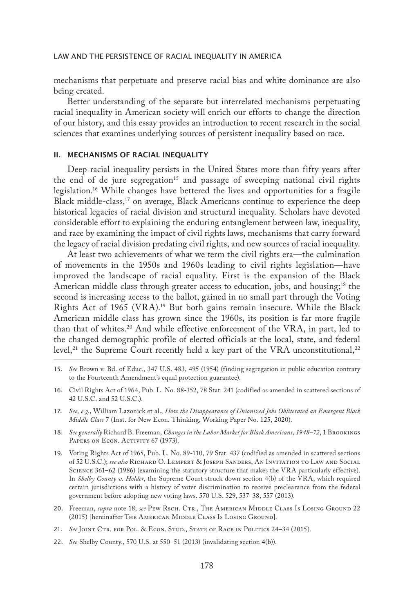mechanisms that perpetuate and preserve racial bias and white dominance are also being created.

Better understanding of the separate but interrelated mechanisms perpetuating racial inequality in American society will enrich our efforts to change the direction of our history, and this essay provides an introduction to recent research in the social sciences that examines underlying sources of persistent inequality based on race.

### II. MECHANISMS OF RACIAL INEQUALITY

Deep racial inequality persists in the United States more than fifty years after the end of de jure segregation<sup>15</sup> and passage of sweeping national civil rights legislation.16 While changes have bettered the lives and opportunities for a fragile Black middle-class, $17$  on average, Black Americans continue to experience the deep historical legacies of racial division and structural inequality. Scholars have devoted considerable effort to explaining the enduring entanglement between law, inequality, and race by examining the impact of civil rights laws, mechanisms that carry forward the legacy of racial division predating civil rights, and new sources of racial inequality.

At least two achievements of what we term the civil rights era—the culmination of movements in the 1950s and 1960s leading to civil rights legislation—have improved the landscape of racial equality. First is the expansion of the Black American middle class through greater access to education, jobs, and housing;<sup>18</sup> the second is increasing access to the ballot, gained in no small part through the Voting Rights Act of 1965 (VRA).19 But both gains remain insecure. While the Black American middle class has grown since the 1960s, its position is far more fragile than that of whites.20 And while effective enforcement of the VRA, in part, led to the changed demographic profile of elected officials at the local, state, and federal level,<sup>21</sup> the Supreme Court recently held a key part of the VRA unconstitutional,<sup>22</sup>

- 15. *See* Brown v. Bd. of Educ., 347 U.S. 483, 495 (1954) (finding segregation in public education contrary to the Fourteenth Amendment's equal protection guarantee).
- 16. Civil Rights Act of 1964, Pub. L. No. 88-352, 78 Stat. 241 (codified as amended in scattered sections of 42 U.S.C. and 52 U.S.C.).
- 17. *See, e.g.*, William Lazonick et al., *How the Disappearance of Unionized Jobs Obliterated an Emergent Black Middle Class* 7 (Inst. for New Econ. Thinking, Working Paper No. 125, 2020).
- 18. *See generally* Richard B. Freeman, *Changes in the Labor Market for Black Americans, 1948–72*, 1 Brookings PAPERS ON ECON. ACTIVITY 67 (1973).
- 19. Voting Rights Act of 1965, Pub. L. No. 89-110, 79 Stat. 437 (codified as amended in scattered sections of 52 U.S.C.); *see also* Richard O. Lempert & Joseph Sanders, An Invitation to Law and Social Science 361–62 (1986) (examining the statutory structure that makes the VRA particularly effective). In *Shelby County v. Holder*, the Supreme Court struck down section 4(b) of the VRA, which required certain jurisdictions with a history of voter discrimination to receive preclearance from the federal government before adopting new voting laws. 570 U.S. 529, 537–38, 557 (2013).
- 20. Freeman, *supra* note 18; *see* PEW RSCH. CTR., THE AMERICAN MIDDLE CLASS IS LOSING GROUND 22 (2015) [hereinafter THE AMERICAN MIDDLE CLASS Is LOSING GROUND].
- 21. *See* Joint Ctr. for Pol. & Econ. Stud., State of Race in Politics 24–34 (2015).
- 22. *See* Shelby County., 570 U.S. at 550–51 (2013) (invalidating section 4(b)).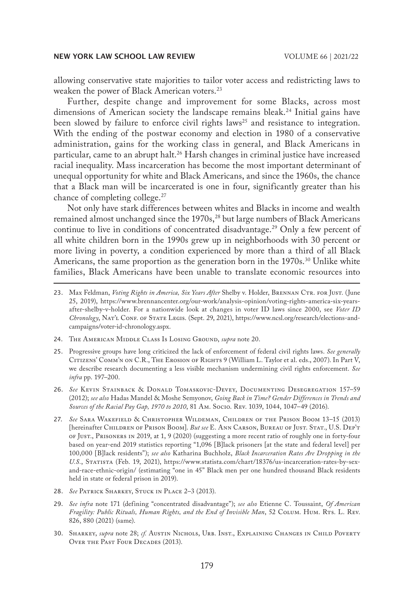allowing conservative state majorities to tailor voter access and redistricting laws to weaken the power of Black American voters.<sup>23</sup>

Further, despite change and improvement for some Blacks, across most dimensions of American society the landscape remains bleak.<sup>24</sup> Initial gains have been slowed by failure to enforce civil rights laws<sup>25</sup> and resistance to integration. With the ending of the postwar economy and election in 1980 of a conservative administration, gains for the working class in general, and Black Americans in particular, came to an abrupt halt.<sup>26</sup> Harsh changes in criminal justice have increased racial inequality. Mass incarceration has become the most important determinant of unequal opportunity for white and Black Americans, and since the 1960s, the chance that a Black man will be incarcerated is one in four, significantly greater than his chance of completing college.27

Not only have stark differences between whites and Blacks in income and wealth remained almost unchanged since the 1970s,<sup>28</sup> but large numbers of Black Americans continue to live in conditions of concentrated disadvantage.<sup>29</sup> Only a few percent of all white children born in the 1990s grew up in neighborhoods with 30 percent or more living in poverty, a condition experienced by more than a third of all Black Americans, the same proportion as the generation born in the 1970s.<sup>30</sup> Unlike white families, Black Americans have been unable to translate economic resources into

- 24. The American Middle Class Is Losing Ground, *supra* note 20.
- 25. Progressive groups have long criticized the lack of enforcement of federal civil rights laws. *See generally* CITIZENS' COMM'N ON C.R., THE EROSION OF RIGHTS 9 (William L. Taylor et al. eds., 2007). In Part V, we describe research documenting a less visible mechanism undermining civil rights enforcement. *See infra* pp. 197–200.
- 26. *See* Kevin Stainback & Donald Tomaskovic-Devey, Documenting Desegregation 157–59 (2012); *see also* Hadas Mandel & Moshe Semyonov, *Going Back in Time? Gender Differences in Trends and Sources of the Racial Pay Gap, 1970 to 2010*, 81 Am. Socio. Rev. 1039, 1044, 1047–49 (2016).
- 27. *See* Sara Wakefield & Christopher Wildeman, Children of the Prison Boom 13–15 (2013) [hereinafter Children of Prison Boom]. *But see* E. Ann Carson, Bureau of Just. Stat., U.S. Dep't of Just., Prisoners in 2019, at 1, 9 (2020) (suggesting a more recent ratio of roughly one in forty-four based on year-end 2019 statistics reporting "1,096 [B]lack prisoners [at the state and federal level] per 100,000 [B]lack residents"); *see also* Katharina Buchholz, *Black Incarceration Rates Are Dropping in the U.S.*, Statista (Feb. 19, 2021), https://www.statista.com/chart/18376/us-incarceration-rates-by-sexand-race-ethnic-origin/ (estimating "one in 45" Black men per one hundred thousand Black residents held in state or federal prison in 2019).
- 28. *See* Patrick Sharkey, Stuck in Place 2–3 (2013).
- 29. *See infra* note 171 (defining "concentrated disadvantage"); *see also* Etienne C. Toussaint, *Of American Fragility: Public Rituals, Human Rights, and the End of Invisible Man*, 52 Colum. Hum. Rts. L. Rev. 826, 880 (2021) (same).
- 30. Sharkey, *supra* note 28; *cf.* Austin Nichols, Urb. Inst., Explaining Changes in Child Poverty OVER THE PAST FOUR DECADES (2013).

<sup>23.</sup> Max Feldman, *Voting Rights in America, Six Years After Shelby v. Holder, BRENNAN CTR. FOR JUST.* (June 25, 2019), https://www.brennancenter.org/our-work/analysis-opinion/voting-rights-america-six-yearsafter-shelby-v-holder. For a nationwide look at changes in voter ID laws since 2000, see *Voter ID Chronology*, Nat'l Conf. of State Legis. (Sept. 29, 2021), https://www.ncsl.org/research/elections-andcampaigns/voter-id-chronology.aspx.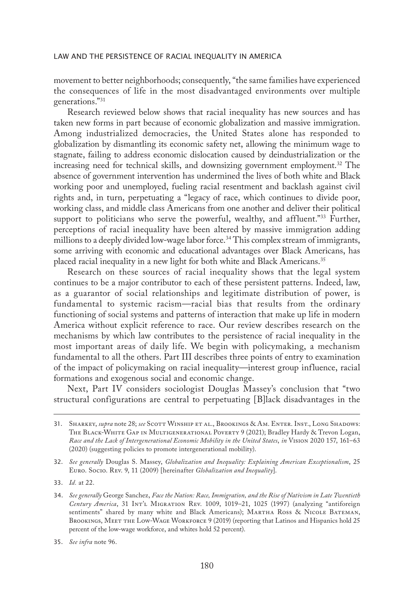movement to better neighborhoods; consequently, "the same families have experienced the consequences of life in the most disadvantaged environments over multiple generations."31

Research reviewed below shows that racial inequality has new sources and has taken new forms in part because of economic globalization and massive immigration. Among industrialized democracies, the United States alone has responded to globalization by dismantling its economic safety net, allowing the minimum wage to stagnate, failing to address economic dislocation caused by deindustrialization or the increasing need for technical skills, and downsizing government employment.<sup>32</sup> The absence of government intervention has undermined the lives of both white and Black working poor and unemployed, fueling racial resentment and backlash against civil rights and, in turn, perpetuating a "legacy of race, which continues to divide poor, working class, and middle class Americans from one another and deliver their political support to politicians who serve the powerful, wealthy, and affluent."33 Further, perceptions of racial inequality have been altered by massive immigration adding millions to a deeply divided low-wage labor force.<sup>34</sup> This complex stream of immigrants, some arriving with economic and educational advantages over Black Americans, has placed racial inequality in a new light for both white and Black Americans.<sup>35</sup>

Research on these sources of racial inequality shows that the legal system continues to be a major contributor to each of these persistent patterns. Indeed, law, as a guarantor of social relationships and legitimate distribution of power, is fundamental to systemic racism—racial bias that results from the ordinary functioning of social systems and patterns of interaction that make up life in modern America without explicit reference to race. Our review describes research on the mechanisms by which law contributes to the persistence of racial inequality in the most important areas of daily life. We begin with policymaking, a mechanism fundamental to all the others. Part III describes three points of entry to examination of the impact of policymaking on racial inequality—interest group influence, racial formations and exogenous social and economic change.

Next, Part IV considers sociologist Douglas Massey's conclusion that "two structural configurations are central to perpetuating [B]lack disadvantages in the

33. *Id.* at 22.

<sup>31.</sup> Sharkey, *supra* note 28; *see* Scott Winship et al., Brookings & Am. Enter. Inst., Long Shadows: The Black-White Gap in Multigenerational Poverty 9 (2021); Bradley Hardy & Trevon Logan, *Race and the Lack of Intergenerational Economic Mobility in the United States*, *in* Vision 2020 157, 161–63 (2020) (suggesting policies to promote intergenerational mobility).

<sup>32.</sup> *See generally* Douglas S. Massey, *Globalization and Inequality: Explaining American Exceptionalism*, 25 Euro. Socio. Rev. 9, 11 (2009) [hereinafter *Globalization and Inequality*].

<sup>34.</sup> *See generally* George Sanchez, *Face the Nation: Race, Immigration, and the Rise of Nativism in Late Twentieth Century America*, 31 Int'l Migration Rev. 1009, 1019–21, 1025 (1997) (analyzing "antiforeign sentiments" shared by many white and Black Americans); MARTHA Ross & NICOLE BATEMAN, BROOKINGS, MEET THE LOW-WAGE WORKFORCE 9 (2019) (reporting that Latinos and Hispanics hold 25 percent of the low-wage workforce, and whites hold 52 percent).

<sup>35.</sup> *See infra* note 96.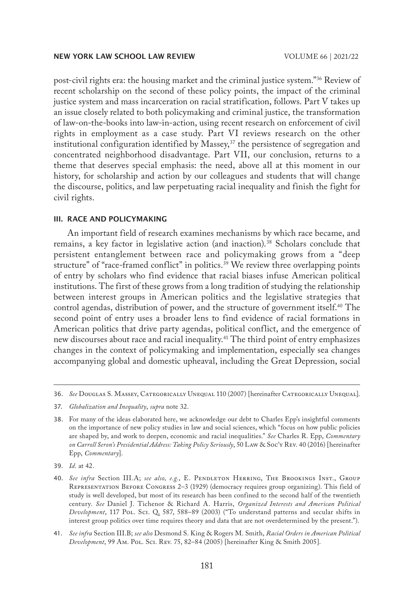post-civil rights era: the housing market and the criminal justice system."36 Review of recent scholarship on the second of these policy points, the impact of the criminal justice system and mass incarceration on racial stratification, follows. Part V takes up an issue closely related to both policymaking and criminal justice, the transformation of law-on-the-books into law-in-action, using recent research on enforcement of civil rights in employment as a case study. Part VI reviews research on the other institutional configuration identified by Massey,  $37$  the persistence of segregation and concentrated neighborhood disadvantage. Part VII, our conclusion, returns to a theme that deserves special emphasis: the need, above all at this moment in our history, for scholarship and action by our colleagues and students that will change the discourse, politics, and law perpetuating racial inequality and finish the fight for civil rights.

#### III. RACE AND POLICYMAKING

An important field of research examines mechanisms by which race became, and remains, a key factor in legislative action (and inaction).38 Scholars conclude that persistent entanglement between race and policymaking grows from a "deep structure" of "race-framed conflict" in politics.<sup>39</sup> We review three overlapping points of entry by scholars who find evidence that racial biases infuse American political institutions. The first of these grows from a long tradition of studying the relationship between interest groups in American politics and the legislative strategies that control agendas, distribution of power, and the structure of government itself.<sup>40</sup> The second point of entry uses a broader lens to find evidence of racial formations in American politics that drive party agendas, political conflict, and the emergence of new discourses about race and racial inequality.41 The third point of entry emphasizes changes in the context of policymaking and implementation, especially sea changes accompanying global and domestic upheaval, including the Great Depression, social

<sup>36.</sup> *See* Douglas S. Massey, Categorically Unequal 110 (2007) [hereinafter Categorically Unequal].

<sup>37.</sup> *Globalization and Inequality*, *supra* note 32.

<sup>38.</sup> For many of the ideas elaborated here, we acknowledge our debt to Charles Epp's insightful comments on the importance of new policy studies in law and social sciences, which "focus on how public policies are shaped by, and work to deepen, economic and racial inequalities." *See* Charles R. Epp, *Commentary on Carroll Seron's Presidential Address: Taking Policy Seriously*, 50 Law & Soc'y Rev. 40 (2016) [hereinafter Epp, *Commentary*].

<sup>39.</sup> *Id.* at 42.

<sup>40.</sup> *See infra* Section III.A; *see also, e.g.*, E. Pendleton Herring, The Brookings Inst., Group Representation Before Congress 2–3 (1929) (democracy requires group organizing). This field of study is well developed, but most of its research has been confined to the second half of the twentieth century. *See* Daniel J. Tichenor & Richard A. Harris, *Organized Interests and American Political Development*, 117 Pol. Sci. Q. 587, 588–89 (2003) ("To understand patterns and secular shifts in interest group politics over time requires theory and data that are not overdetermined by the present.").

<sup>41.</sup> *See infra* Section III.B; *see also* Desmond S. King & Rogers M. Smith, *Racial Orders in American Political Development*, 99 Am. Pol. Sci. Rev. 75, 82–84 (2005) [hereinafter King & Smith 2005].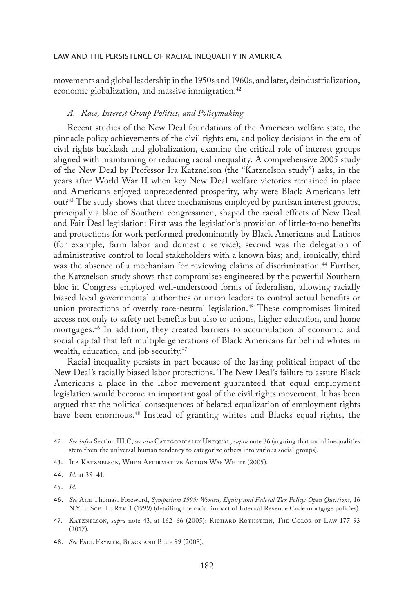movements and global leadership in the 1950s and 1960s, and later, deindustrialization, economic globalization, and massive immigration.<sup>42</sup>

## *A. Race, Interest Group Politics, and Policymaking*

Recent studies of the New Deal foundations of the American welfare state, the pinnacle policy achievements of the civil rights era, and policy decisions in the era of civil rights backlash and globalization, examine the critical role of interest groups aligned with maintaining or reducing racial inequality. A comprehensive 2005 study of the New Deal by Professor Ira Katznelson (the "Katznelson study") asks, in the years after World War II when key New Deal welfare victories remained in place and Americans enjoyed unprecedented prosperity, why were Black Americans left out?43 The study shows that three mechanisms employed by partisan interest groups, principally a bloc of Southern congressmen, shaped the racial effects of New Deal and Fair Deal legislation: First was the legislation's provision of little-to-no benefits and protections for work performed predominantly by Black Americans and Latinos (for example, farm labor and domestic service); second was the delegation of administrative control to local stakeholders with a known bias; and, ironically, third was the absence of a mechanism for reviewing claims of discrimination.<sup>44</sup> Further, the Katznelson study shows that compromises engineered by the powerful Southern bloc in Congress employed well-understood forms of federalism, allowing racially biased local governmental authorities or union leaders to control actual benefits or union protections of overtly race-neutral legislation.<sup>45</sup> These compromises limited access not only to safety net benefits but also to unions, higher education, and home mortgages.46 In addition, they created barriers to accumulation of economic and social capital that left multiple generations of Black Americans far behind whites in wealth, education, and job security.<sup>47</sup>

Racial inequality persists in part because of the lasting political impact of the New Deal's racially biased labor protections. The New Deal's failure to assure Black Americans a place in the labor movement guaranteed that equal employment legislation would become an important goal of the civil rights movement. It has been argued that the political consequences of belated equalization of employment rights have been enormous.<sup>48</sup> Instead of granting whites and Blacks equal rights, the

48. *See* Paul Frymer, Black and Blue 99 (2008).

<sup>42.</sup> *See infra* Section III.C; *see also* Categorically Unequal, *supra* note 36 (arguing that social inequalities stem from the universal human tendency to categorize others into various social groups).

<sup>43.</sup> Ira Katznelson, When Affirmative Action Was White (2005).

<sup>44.</sup> *Id.* at 38–41.

<sup>45.</sup> *Id.*

<sup>46.</sup> *See* Ann Thomas, Foreword, *Symposium 1999: Women, Equity and Federal Tax Policy: Open Questions*, 16 N.Y.L. Sch. L. Rev. 1 (1999) (detailing the racial impact of Internal Revenue Code mortgage policies).

<sup>47.</sup> Katznelson, *supra* note 43, at 162–66 (2005); Richard Rothstein, The Color of Law 177–93 (2017).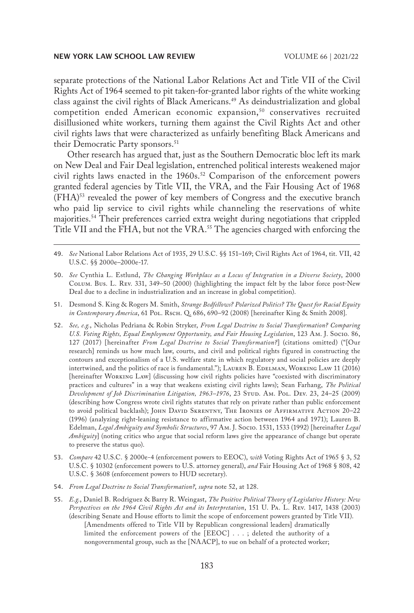separate protections of the National Labor Relations Act and Title VII of the Civil Rights Act of 1964 seemed to pit taken-for-granted labor rights of the white working class against the civil rights of Black Americans.<sup>49</sup> As deindustrialization and global competition ended American economic expansion,<sup>50</sup> conservatives recruited disillusioned white workers, turning them against the Civil Rights Act and other civil rights laws that were characterized as unfairly benefiting Black Americans and their Democratic Party sponsors.<sup>51</sup>

Other research has argued that, just as the Southern Democratic bloc left its mark on New Deal and Fair Deal legislation, entrenched political interests weakened major civil rights laws enacted in the 1960s.<sup>52</sup> Comparison of the enforcement powers granted federal agencies by Title VII, the VRA, and the Fair Housing Act of 1968 (FHA)53 revealed the power of key members of Congress and the executive branch who paid lip service to civil rights while channeling the reservations of white majorities.54 Their preferences carried extra weight during negotiations that crippled Title VII and the FHA, but not the VRA.<sup>55</sup> The agencies charged with enforcing the

- 51. Desmond S. King & Rogers M. Smith, *Strange Bedfellows? Polarized Politics? The Quest for Racial Equity*  in Contemporary America, 61 Pol. Rsch. Q. 686, 690-92 (2008) [hereinafter King & Smith 2008].
- 52. *See, e.g.*, Nicholas Pedriana & Robin Stryker, *From Legal Doctrine to Social Transformation? Comparing U.S. Voting Rights, Equal Employment Opportunity, and Fair Housing Legislation*, 123 Am. J. Socio. 86, 127 (2017) [hereinafter *From Legal Doctrine to Social Transformation?*] (citations omitted) ("[Our research] reminds us how much law, courts, and civil and political rights figured in constructing the contours and exceptionalism of a U.S. welfare state in which regulatory and social policies are deeply intertwined, and the politics of race is fundamental."); LAUREN B. EDELMAN, WORKING LAW 11 (2016) [hereinafter Working Law] (discussing how civil rights policies have "coexisted with discriminatory practices and cultures" in a way that weakens existing civil rights laws); Sean Farhang, *The Political Development of Job Discrimination Litigation, 1963–1976*, 23 Stud. Am. Pol. Dev. 23, 24–25 (2009) (describing how Congress wrote civil rights statutes that rely on private rather than public enforcement to avoid political backlash); JOHN DAVID SKRENTNY, THE IRONIES OF AFFIRMATIVE ACTION 20-22 (1996) (analyzing right-leaning resistance to affirmative action between 1964 and 1971); Lauren B. Edelman, *Legal Ambiguity and Symbolic Structures*, 97 Am. J. Socio. 1531, 1533 (1992) [hereinafter *Legal Ambiguity*] (noting critics who argue that social reform laws give the appearance of change but operate to preserve the status quo).
- 53. *Compare* 42 U.S.C. § 2000e-4 (enforcement powers to EEOC), *with* Voting Rights Act of 1965 § 3, 52 U.S.C. § 10302 (enforcement powers to U.S. attorney general), *and* Fair Housing Act of 1968 § 808, 42 U.S.C. § 3608 (enforcement powers to HUD secretary).
- 54. *From Legal Doctrine to Social Transformation?*, *supra* note 52, at 128.
- 55. *E.g.*, Daniel B. Rodriguez & Barry R. Weingast, *The Positive Political Theory of Legislative History: New Perspectives on the 1964 Civil Rights Act and its Interpretation*, 151 U. Pa. L. Rev. 1417, 1438 (2003) (describing Senate and House efforts to limit the scope of enforcement powers granted by Title VII). [Amendments offered to Title VII by Republican congressional leaders] dramatically limited the enforcement powers of the [EEOC] . . . ; deleted the authority of a nongovernmental group, such as the [NAACP], to sue on behalf of a protected worker;

<sup>49.</sup> *See* National Labor Relations Act of 1935, 29 U.S.C. §§ 151–169; Civil Rights Act of 1964, tit. VII, 42 U.S.C. §§ 2000e–2000e-17.

<sup>50.</sup> *See* Cynthia L. Estlund, *The Changing Workplace as a Locus of Integration in a Diverse Society*, 2000 Colum. Bus. L. Rev. 331, 349–50 (2000) (highlighting the impact felt by the labor force post-New Deal due to a decline in industrialization and an increase in global competition).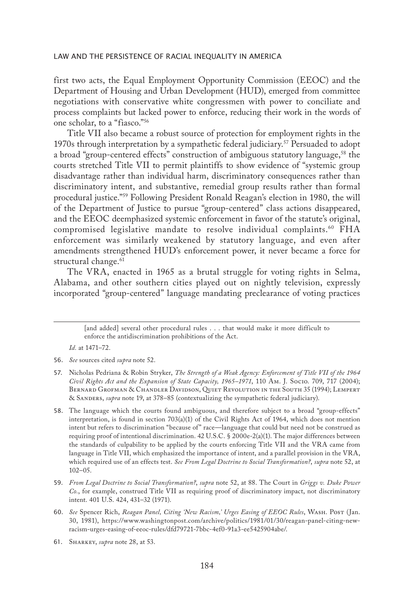first two acts, the Equal Employment Opportunity Commission (EEOC) and the Department of Housing and Urban Development (HUD), emerged from committee negotiations with conservative white congressmen with power to conciliate and process complaints but lacked power to enforce, reducing their work in the words of one scholar, to a "fiasco."56

Title VII also became a robust source of protection for employment rights in the 1970s through interpretation by a sympathetic federal judiciary.<sup>57</sup> Persuaded to adopt a broad "group-centered effects" construction of ambiguous statutory language,<sup>58</sup> the courts stretched Title VII to permit plaintiffs to show evidence of "systemic group disadvantage rather than individual harm, discriminatory consequences rather than discriminatory intent, and substantive, remedial group results rather than formal procedural justice."59 Following President Ronald Reagan's election in 1980, the will of the Department of Justice to pursue "group-centered" class actions disappeared, and the EEOC deemphasized systemic enforcement in favor of the statute's original, compromised legislative mandate to resolve individual complaints.<sup>60</sup> FHA enforcement was similarly weakened by statutory language, and even after amendments strengthened HUD's enforcement power, it never became a force for structural change.<sup>61</sup>

The VRA, enacted in 1965 as a brutal struggle for voting rights in Selma, Alabama, and other southern cities played out on nightly television, expressly incorporated "group-centered" language mandating preclearance of voting practices

*Id.* at 1471–72.

- 59. *From Legal Doctrine to Social Transformation?*, *supra* note 52, at 88. The Court in *Griggs v. Duke Power Co.*, for example, construed Title VII as requiring proof of discriminatory impact, not discriminatory intent. 401 U.S. 424, 431–32 (1971).
- 60. *See* Spencer Rich, *Reagan Panel, Citing 'New Racism,' Urges Easing of EEOC Rules*, Wash. Post (Jan. 30, 1981), https://www.washingtonpost.com/archive/politics/1981/01/30/reagan-panel-citing-newracism-urges-easing-of-eeoc-rules/dfd79721-7bbc-4ef0-91a3-ee5425904abe/.
- 61. Sharkey, *supra* note 28, at 53.

<sup>[</sup>and added] several other procedural rules . . . that would make it more difficult to enforce the antidiscrimination prohibitions of the Act.

<sup>56.</sup> *See* sources cited *supra* note 52.

<sup>57.</sup> Nicholas Pedriana & Robin Stryker, *The Strength of a Weak Agency: Enforcement of Title VII of the 1964 Civil Rights Act and the Expansion of State Capacity, 1965–1971*, 110 Am. J. Socio. 709, 717 (2004); Bernard Grofman & Chandler Davidson, Quiet Revolution in the South 35 (1994); Lempert & Sanders, *supra* note 19, at 378–85 (contextualizing the sympathetic federal judiciary).

<sup>58.</sup> The language which the courts found ambiguous, and therefore subject to a broad "group-effects" interpretation, is found in section 703(a)(1) of the Civil Rights Act of 1964, which does not mention intent but refers to discrimination "because of" race—language that could but need not be construed as requiring proof of intentional discrimination. 42 U.S.C. § 2000e-2(a)(1). The major differences between the standards of culpability to be applied by the courts enforcing Title VII and the VRA came from language in Title VII, which emphasized the importance of intent, and a parallel provision in the VRA, which required use of an effects test. *See From Legal Doctrine to Social Transformation?*, *supra* note 52, at 102–05.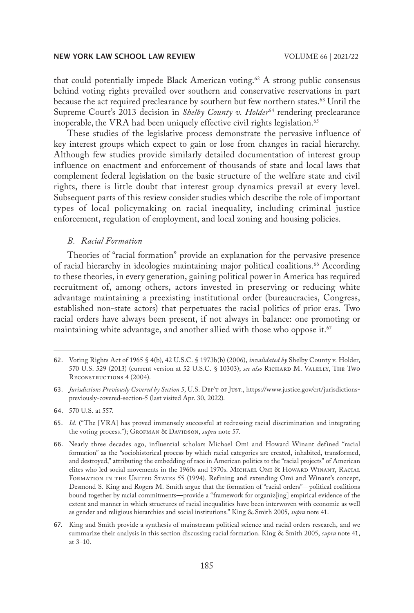that could potentially impede Black American voting.<sup>62</sup> A strong public consensus behind voting rights prevailed over southern and conservative reservations in part because the act required preclearance by southern but few northern states.63 Until the Supreme Court's 2013 decision in *Shelby County v. Holder*<sup>64</sup> rendering preclearance inoperable, the VRA had been uniquely effective civil rights legislation.<sup>65</sup>

These studies of the legislative process demonstrate the pervasive influence of key interest groups which expect to gain or lose from changes in racial hierarchy. Although few studies provide similarly detailed documentation of interest group influence on enactment and enforcement of thousands of state and local laws that complement federal legislation on the basic structure of the welfare state and civil rights, there is little doubt that interest group dynamics prevail at every level. Subsequent parts of this review consider studies which describe the role of important types of local policymaking on racial inequality, including criminal justice enforcement, regulation of employment, and local zoning and housing policies.

#### *B. Racial Formation*

Theories of "racial formation" provide an explanation for the pervasive presence of racial hierarchy in ideologies maintaining major political coalitions.<sup>66</sup> According to these theories, in every generation, gaining political power in America has required recruitment of, among others, actors invested in preserving or reducing white advantage maintaining a preexisting institutional order (bureaucracies, Congress, established non-state actors) that perpetuates the racial politics of prior eras. Two racial orders have always been present, if not always in balance: one promoting or maintaining white advantage, and another allied with those who oppose it.<sup>67</sup>

63. *Jurisdictions Previously Covered by Section 5*, U.S. Dep't of Just., https://www.justice.gov/crt/jurisdictionspreviously-covered-section-5 (last visited Apr. 30, 2022).

- 65. *Id.* ("The [VRA] has proved immensely successful at redressing racial discrimination and integrating the voting process."); GROFMAN & DAVIDSON, *supra* note 57.
- 66. Nearly three decades ago, influential scholars Michael Omi and Howard Winant defined "racial formation" as the "sociohistorical process by which racial categories are created, inhabited, transformed, and destroyed," attributing the embedding of race in American politics to the "racial projects" of American elites who led social movements in the 1960s and 1970s. MICHAEL OMI & HOWARD WINANT, RACIAL FORMATION IN THE UNITED STATES 55 (1994). Refining and extending Omi and Winant's concept, Desmond S. King and Rogers M. Smith argue that the formation of "racial orders"—political coalitions bound together by racial commitments—provide a "framework for organiz[ing] empirical evidence of the extent and manner in which structures of racial inequalities have been interwoven with economic as well as gender and religious hierarchies and social institutions." King & Smith 2005, *supra* note 41.
- 67. King and Smith provide a synthesis of mainstream political science and racial orders research, and we summarize their analysis in this section discussing racial formation. King & Smith 2005, *supra* note 41, at 3–10.

<sup>62.</sup> Voting Rights Act of 1965 § 4(b), 42 U.S.C. § 1973b(b) (2006), *invalidated by* Shelby County v. Holder, 570 U.S. 529 (2013) (current version at 52 U.S.C. § 10303); *see also* Richard M. Valelly, The Two RECONSTRUCTIONS 4 (2004).

<sup>64.</sup> 570 U.S. at 557.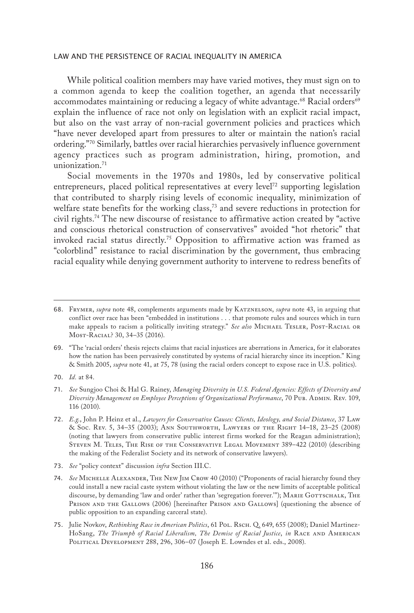While political coalition members may have varied motives, they must sign on to a common agenda to keep the coalition together, an agenda that necessarily accommodates maintaining or reducing a legacy of white advantage.<sup>68</sup> Racial orders<sup>69</sup> explain the influence of race not only on legislation with an explicit racial impact, but also on the vast array of non-racial government policies and practices which "have never developed apart from pressures to alter or maintain the nation's racial ordering."70 Similarly, battles over racial hierarchies pervasively influence government agency practices such as program administration, hiring, promotion, and unionization.<sup>71</sup>

Social movements in the 1970s and 1980s, led by conservative political entrepreneurs, placed political representatives at every level<sup>72</sup> supporting legislation that contributed to sharply rising levels of economic inequality, minimization of welfare state benefits for the working class, $73$  and severe reductions in protection for civil rights.74 The new discourse of resistance to affirmative action created by "active and conscious rhetorical construction of conservatives" avoided "hot rhetoric" that invoked racial status directly.75 Opposition to affirmative action was framed as "colorblind" resistance to racial discrimination by the government, thus embracing racial equality while denying government authority to intervene to redress benefits of

<sup>68.</sup> Frymer, *supra* note 48, complements arguments made by Katznelson, *supra* note 43, in arguing that conflict over race has been "embedded in institutions . . . that promote rules and sources which in turn make appeals to racism a politically inviting strategy." See also MICHAEL TESLER, POST-RACIAL OR Most-Racial? 30, 34–35 (2016).

<sup>69.</sup> "The 'racial orders' thesis rejects claims that racial injustices are aberrations in America, for it elaborates how the nation has been pervasively constituted by systems of racial hierarchy since its inception." King & Smith 2005, *supra* note 41, at 75, 78 (using the racial orders concept to expose race in U.S. politics).

<sup>70.</sup> *Id.* at 84.

<sup>71.</sup> *See* Sungjoo Choi & Hal G. Rainey, *Managing Diversity in U.S. Federal Agencies: Effects of Diversity and*  Diversity Management on Employee Perceptions of Organizational Performance, 70 Pub. ADMIN. Rev. 109, 116 (2010).

<sup>72.</sup> *E.g.*, John P. Heinz et al., *Lawyers for Conservative Causes: Clients, Ideology, and Social Distance*, 37 Law & Soc. Rev. 5, 34–35 (2003); Ann Southworth, Lawyers of the Right 14–18, 23–25 (2008) (noting that lawyers from conservative public interest firms worked for the Reagan administration); Steven M. Teles, The Rise of the Conservative Legal Movement 389–422 (2010) (describing the making of the Federalist Society and its network of conservative lawyers).

<sup>73.</sup> *See* "policy context" discussion *infra* Section III.C.

<sup>74.</sup> *See* Michelle Alexander, The New Jim Crow 40 (2010) ("Proponents of racial hierarchy found they could install a new racial caste system without violating the law or the new limits of acceptable political discourse, by demanding 'law and order' rather than 'segregation forever."); MARIE GOTTSCHALK, THE PRISON AND THE GALLOWS (2006) [hereinafter PRISON AND GALLOWS] (questioning the absence of public opposition to an expanding carceral state).

<sup>75.</sup> Julie Novkov, *Rethinking Race in American Politics*, 61 Pol. Rsch. Q. 649, 655 (2008); Daniel Martinez-HoSang, *The Triumph of Racial Liberalism, The Demise of Racial Justice, in RACE AND AMERICAN* POLITICAL DEVELOPMENT 288, 296, 306-07 (Joseph E. Lowndes et al. eds., 2008).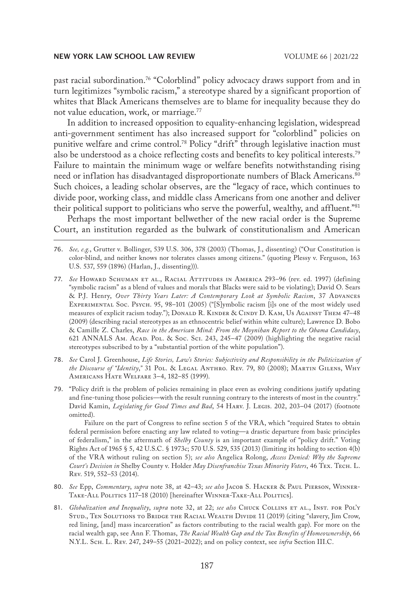past racial subordination.76 "Colorblind" policy advocacy draws support from and in turn legitimizes "symbolic racism," a stereotype shared by a significant proportion of whites that Black Americans themselves are to blame for inequality because they do not value education, work, or marriage.77

In addition to increased opposition to equality-enhancing legislation, widespread anti-government sentiment has also increased support for "colorblind" policies on punitive welfare and crime control.<sup>78</sup> Policy "drift" through legislative inaction must also be understood as a choice reflecting costs and benefits to key political interests.<sup>79</sup> Failure to maintain the minimum wage or welfare benefits notwithstanding rising need or inflation has disadvantaged disproportionate numbers of Black Americans.<sup>80</sup> Such choices, a leading scholar observes, are the "legacy of race, which continues to divide poor, working class, and middle class Americans from one another and deliver their political support to politicians who serve the powerful, wealthy, and affluent."<sup>81</sup>

Perhaps the most important bellwether of the new racial order is the Supreme Court, an institution regarded as the bulwark of constitutionalism and American

77. *See* Howard Schuman et al., Racial Attitudes in America 293–96 (rev. ed. 1997) (defining "symbolic racism" as a blend of values and morals that Blacks were said to be violating); David O. Sears  $\&$  P.J. Henry, *Over Thirty Years Later: A Contemporary Look at Symbolic Racism*, 37 ADVANCES Experimental Soc. Psych. 95, 98–101 (2005) ("[S]ymbolic racism [i]s one of the most widely used measures of explicit racism today."); DONALD R. KINDER & CINDY D. KAM, US AGAINST THEM 47-48 (2009) (describing racial stereotypes as an ethnocentric belief within white culture); Lawrence D. Bobo & Camille Z. Charles, *Race in the American Mind: From the Moynihan Report to the Obama Candidacy*, 621 ANNALS AM. Acap. Pol. & Soc. Sci. 243, 245-47 (2009) (highlighting the negative racial stereotypes subscribed to by a "substantial portion of the white population").

- 78. *See* Carol J. Greenhouse, *Life Stories, Law's Stories: Subjectivity and Responsibility in the Politicization of the Discourse of "Identity*,*"* 31 Pol. & Legal Anthro. Rev. 79, 80 (2008); Martin Gilens, Why Americans Hate Welfare 3–4, 182–85 (1999).
- 79. "Policy drift is the problem of policies remaining in place even as evolving conditions justify updating and fine-tuning those policies—with the result running contrary to the interests of most in the country." David Kamin, *Legislating for Good Times and Bad*, 54 Harv. J. Legis. 202, 203–04 (2017) (footnote omitted).

Failure on the part of Congress to refine section 5 of the VRA, which "required States to obtain federal permission before enacting any law related to voting—a drastic departure from basic principles of federalism," in the aftermath of *Shelby County* is an important example of "policy drift." Voting Rights Act of 1965 § 5, 42 U.S.C. § 1973c; 570 U.S. 529, 535 (2013) (limiting its holding to section 4(b) of the VRA without ruling on section 5); *see also* Angelica Rolong, *Access Denied: Why the Supreme Court's Decision in* Shelby County v. Holder *May Disenfranchise Texas Minority Voters*, 46 Tex. Tech. L. Rev. 519, 552–53 (2014).

- 80. *See* Epp, *Commentary*, *supra* note 38, at 42–43; *see also* Jacob S. Hacker & Paul Pierson, Winner-TAKE-ALL POLITICS 117-18 (2010) [hereinafter WINNER-TAKE-ALL POLITICS].
- 81. *Globalization and Inequality, supra* note 32, at 22; *see also* CHUCK COLLINS ET AL., INST. FOR POL'Y STUD., TEN SOLUTIONS TO BRIDGE THE RACIAL WEALTH DIVIDE 11 (2019) (citing "slavery, Jim Crow, red lining, [and] mass incarceration" as factors contributing to the racial wealth gap). For more on the racial wealth gap, see Ann F. Thomas, *The Racial Wealth Gap and the Tax Benefits of Homeownership*, 66 N.Y.L. Sch. L. Rev. 247, 249–55 (2021–2022); and on policy context, see *infra* Section III.C.

<sup>76.</sup> *See, e.g.*, Grutter v. Bollinger, 539 U.S. 306, 378 (2003) (Thomas, J., dissenting) ("Our Constitution is color-blind, and neither knows nor tolerates classes among citizens." (quoting Plessy v. Ferguson, 163 U.S. 537, 559 (1896) (Harlan, J., dissenting))).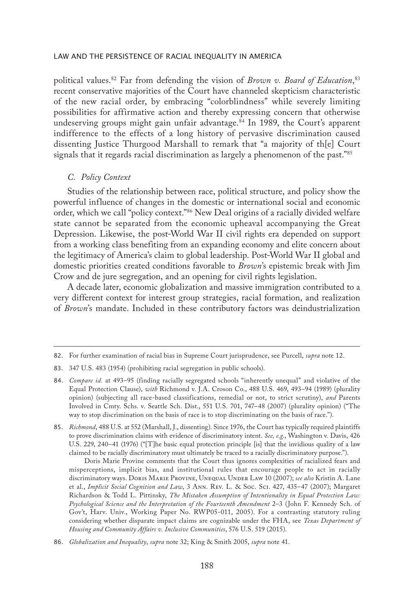political values.82 Far from defending the vision of *Brown v. Board of Education*, 83 recent conservative majorities of the Court have channeled skepticism characteristic of the new racial order, by embracing "colorblindness" while severely limiting possibilities for affirmative action and thereby expressing concern that otherwise undeserving groups might gain unfair advantage.<sup>84</sup> In 1989, the Court's apparent indifference to the effects of a long history of pervasive discrimination caused dissenting Justice Thurgood Marshall to remark that "a majority of th[e] Court signals that it regards racial discrimination as largely a phenomenon of the past."85

#### *C. Policy Context*

Studies of the relationship between race, political structure, and policy show the powerful influence of changes in the domestic or international social and economic order, which we call "policy context."86 New Deal origins of a racially divided welfare state cannot be separated from the economic upheaval accompanying the Great Depression. Likewise, the post-World War II civil rights era depended on support from a working class benefiting from an expanding economy and elite concern about the legitimacy of America's claim to global leadership. Post-World War II global and domestic priorities created conditions favorable to *Brown*'s epistemic break with Jim Crow and de jure segregation, and an opening for civil rights legislation.

A decade later, economic globalization and massive immigration contributed to a very different context for interest group strategies, racial formation, and realization of *Brown*'s mandate. Included in these contributory factors was deindustrialization

83. 347 U.S. 483 (1954) (prohibiting racial segregation in public schools).

<sup>82.</sup> For further examination of racial bias in Supreme Court jurisprudence, see Purcell, *supra* note 12.

<sup>84.</sup> *Compare id.* at 493–95 (finding racially segregated schools "inherently unequal" and violative of the Equal Protection Clause), *with* Richmond v. J.A. Croson Co., 488 U.S. 469, 493–94 (1989) (plurality opinion) (subjecting all race-based classifications, remedial or not, to strict scrutiny), *and* Parents Involved in Cmty. Schs. v. Seattle Sch. Dist., 551 U.S. 701, 747–48 (2007) (plurality opinion) ("The way to stop discrimination on the basis of race is to stop discriminating on the basis of race.").

<sup>85.</sup> *Richmond*, 488 U.S. at 552 (Marshall, J., dissenting). Since 1976, the Court has typically required plaintiffs to prove discrimination claims with evidence of discriminatory intent. *See, e.g.*, Washington v. Davis, 426 U.S. 229, 240–41 (1976) ("[T]he basic equal protection principle [is] that the invidious quality of a law claimed to be racially discriminatory must ultimately be traced to a racially discriminatory purpose.").

Doris Marie Provine comments that the Court thus ignores complexities of racialized fears and misperceptions, implicit bias, and institutional rules that encourage people to act in racially discriminatory ways. Doris MARIE PROVINE, UNEQUAL UNDER LAW 10 (2007); see also Kristin A. Lane et al., *Implicit Social Cognition and Law*, 3 Ann. Rev. L. & Soc. Sci. 427, 435–47 (2007); Margaret Richardson & Todd L. Pittinsky, *The Mistaken Assumption of Intentionality in Equal Protection Law: Psychological Science and the Interpretation of the Fourteenth Amendment* 2–3 (John F. Kennedy Sch. of Gov't, Harv. Univ., Working Paper No. RWP05-011, 2005). For a contrasting statutory ruling considering whether disparate impact claims are cognizable under the FHA, see *Texas Department of Housing and Community Affairs v. Inclusive Communities*, 576 U.S. 519 (2015).

<sup>86.</sup> *Globalization and Inequality*, *supra* note 32; King & Smith 2005, *supra* note 41.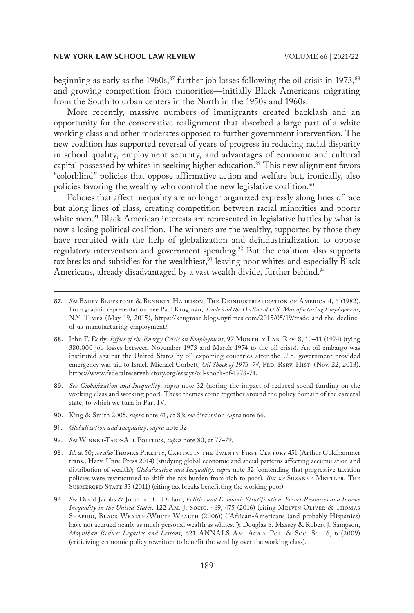beginning as early as the  $1960s$ ,<sup>87</sup> further job losses following the oil crisis in  $1973$ ,<sup>88</sup> and growing competition from minorities—initially Black Americans migrating from the South to urban centers in the North in the 1950s and 1960s.

More recently, massive numbers of immigrants created backlash and an opportunity for the conservative realignment that absorbed a large part of a white working class and other moderates opposed to further government intervention. The new coalition has supported reversal of years of progress in reducing racial disparity in school quality, employment security, and advantages of economic and cultural capital possessed by whites in seeking higher education.<sup>89</sup> This new alignment favors "colorblind" policies that oppose affirmative action and welfare but, ironically, also policies favoring the wealthy who control the new legislative coalition.<sup>90</sup>

Policies that affect inequality are no longer organized expressly along lines of race but along lines of class, creating competition between racial minorities and poorer white men.<sup>91</sup> Black American interests are represented in legislative battles by what is now a losing political coalition. The winners are the wealthy, supported by those they have recruited with the help of globalization and deindustrialization to oppose regulatory intervention and government spending.<sup>92</sup> But the coalition also supports tax breaks and subsidies for the wealthiest, $33$  leaving poor whites and especially Black Americans, already disadvantaged by a vast wealth divide, further behind.<sup>94</sup>

- 89. *See Globalization and Inequality*, *supra* note 32 (noting the impact of reduced social funding on the working class and working poor). These themes come together around the policy domain of the carceral state, to which we turn in Part IV.
- 90. King & Smith 2005, *supra* note 41, at 83; *see* discussion *supra* note 66.
- 91. *Globalization and Inequality*, *supra* note 32.
- 92. *See* Winner-Take-All Politics, *supra* note 80, at 77–79.
- 93. *Id.* at 50; *see also* Thomas Piketty, Capital in the Twenty-First Century 451 (Arthur Goldhammer trans., Harv. Univ. Press 2014) (studying global economic and social patterns affecting accumulation and distribution of wealth); *Globalization and Inequality*, *supra* note 32 (contending that progressive taxation policies were restructured to shift the tax burden from rich to poor). But see SUZANNE METTLER, THE SUBMERGED STATE 33 (2011) (citing tax breaks benefitting the working poor).
- 94. *See* David Jacobs & Jonathan C. Dirlam, *Politics and Economic Stratification: Power Resources and Income Inequality in the United States*, 122 Am. J. Socio. 469, 475 (2016) (citing Melvin Oliver & Thomas Shapiro, Black Wealth/White Wealth (2006)) ("African-Americans (and probably Hispanics) have not accrued nearly as much personal wealth as whites."); Douglas S. Massey & Robert J. Sampson, *Moynihan Redux: Legacies and Lessons*, 621 ANNALS Am. Acad. Pol. & Soc. Sci. 6, 6 (2009) (criticizing economic policy rewritten to benefit the wealthy over the working class).

<sup>87.</sup> *See* Barry Bluestone & Bennett Harrison, The Deindustrialization of America 4, 6 (1982). For a graphic representation, see Paul Krugman, *Trade and the Decline of U.S. Manufacturing Employment*, N.Y. Times (May 19, 2015), https://krugman.blogs.nytimes.com/2015/05/19/trade-and-the-declineof-us-manufacturing-employment/.

<sup>88.</sup> John F. Early, *Effect of the Energy Crisis on Employment*, 97 MONTHLY LAB. REV. 8, 10-11 (1974) (tying 380,000 job losses between November 1973 and March 1974 to the oil crisis). An oil embargo was instituted against the United States by oil-exporting countries after the U.S. government provided emergency war aid to Israel. Michael Corbett, *Oil Shock of 1973-74*, FED. RSRV. HIST. (Nov. 22, 2013), https://www.federalreservehistory.org/essays/oil-shock-of-1973-74.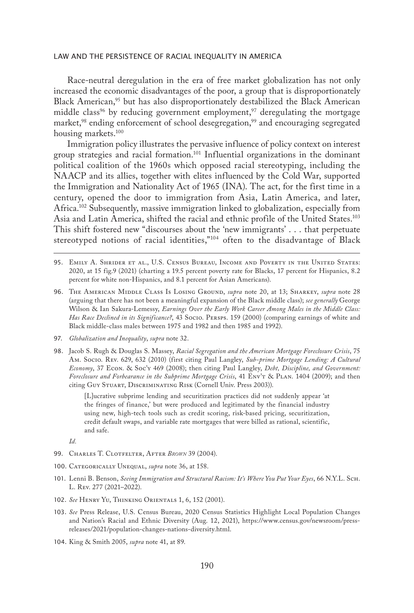Race-neutral deregulation in the era of free market globalization has not only increased the economic disadvantages of the poor, a group that is disproportionately Black American,<sup>95</sup> but has also disproportionately destabilized the Black American middle class<sup>96</sup> by reducing government employment,<sup>97</sup> deregulating the mortgage market,<sup>98</sup> ending enforcement of school desegregation,<sup>99</sup> and encouraging segregated housing markets.<sup>100</sup>

Immigration policy illustrates the pervasive influence of policy context on interest group strategies and racial formation.101 Influential organizations in the dominant political coalition of the 1960s which opposed racial stereotyping, including the NAACP and its allies, together with elites influenced by the Cold War, supported the Immigration and Nationality Act of 1965 (INA). The act, for the first time in a century, opened the door to immigration from Asia, Latin America, and later, Africa.102 Subsequently, massive immigration linked to globalization, especially from Asia and Latin America, shifted the racial and ethnic profile of the United States.<sup>103</sup> This shift fostered new "discourses about the 'new immigrants' . . . that perpetuate stereotyped notions of racial identities,"<sup>104</sup> often to the disadvantage of Black

- 95. Emily A. Shrider et al., U.S. Census Bureau, Income and Poverty in the United States: 2020, at 15 fig.9 (2021) (charting a 19.5 percent poverty rate for Blacks, 17 percent for Hispanics, 8.2 percent for white non-Hispanics, and 8.1 percent for Asian Americans).
- 96. The American Middle Class Is Losing Ground, *supra* note 20, at 13; Sharkey, *supra* note 28 (arguing that there has not been a meaningful expansion of the Black middle class); *see generally* George Wilson & Ian Sakura-Lemessy, *Earnings Over the Early Work Career Among Males in the Middle Class: Has Race Declined in its Significance?*, 43 Socio. Persps. 159 (2000) (comparing earnings of white and Black middle-class males between 1975 and 1982 and then 1985 and 1992).
- 97. *Globalization and Inequality*, *supra* note 32.
- 98. Jacob S. Rugh & Douglas S. Massey, *Racial Segregation and the American Mortgage Foreclosure Crisis*, 75 Am. Socio. Rev. 629, 632 (2010) (first citing Paul Langley, *Sub-prime Mortgage Lending: A Cultural Economy*, 37 Econ. & Soc'y 469 (2008); then citing Paul Langley, *Debt, Discipline, and Government: Foreclosure and Forbearance in the Subprime Mortgage Crisis*, 41 Env't & Plan. 1404 (2009); and then citing Guy Stuart, Discriminating Risk (Cornell Univ. Press 2003)).

[L]ucrative subprime lending and securitization practices did not suddenly appear 'at the fringes of finance,' but were produced and legitimated by the financial industry using new, high-tech tools such as credit scoring, risk-based pricing, securitization, credit default swaps, and variable rate mortgages that were billed as rational, scientific, and safe.

*Id.*

- 99. Charles T. Clotfelter, After *Brown* 39 (2004).
- 100. Categorically Unequal, *supra* note 36, at 158.
- 101. Lenni B. Benson, *Seeing Immigration and Structural Racism: It's Where You Put Your Eyes*, 66 N.Y.L. Sch. L. Rev. 277 (2021–2022).
- 102. *See* Henry Yu, Thinking Orientals 1, 6, 152 (2001).
- 103. *See* Press Release, U.S. Census Bureau, 2020 Census Statistics Highlight Local Population Changes and Nation's Racial and Ethnic Diversity (Aug. 12, 2021), https://www.census.gov/newsroom/pressreleases/2021/population-changes-nations-diversity.html.
- 104. King & Smith 2005, *supra* note 41, at 89.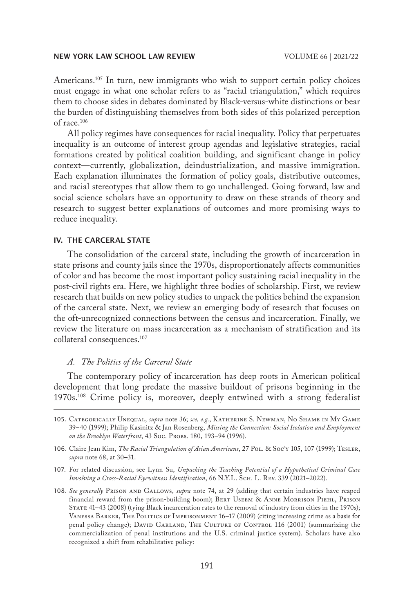Americans.<sup>105</sup> In turn, new immigrants who wish to support certain policy choices must engage in what one scholar refers to as "racial triangulation," which requires them to choose sides in debates dominated by Black-versus-white distinctions or bear the burden of distinguishing themselves from both sides of this polarized perception of race.106

All policy regimes have consequences for racial inequality. Policy that perpetuates inequality is an outcome of interest group agendas and legislative strategies, racial formations created by political coalition building, and significant change in policy context—currently, globalization, deindustrialization, and massive immigration. Each explanation illuminates the formation of policy goals, distributive outcomes, and racial stereotypes that allow them to go unchallenged. Going forward, law and social science scholars have an opportunity to draw on these strands of theory and research to suggest better explanations of outcomes and more promising ways to reduce inequality.

### IV. THE CARCERAL STATE

The consolidation of the carceral state, including the growth of incarceration in state prisons and county jails since the 1970s, disproportionately affects communities of color and has become the most important policy sustaining racial inequality in the post-civil rights era. Here, we highlight three bodies of scholarship. First, we review research that builds on new policy studies to unpack the politics behind the expansion of the carceral state. Next, we review an emerging body of research that focuses on the oft-unrecognized connections between the census and incarceration. Finally, we review the literature on mass incarceration as a mechanism of stratification and its collateral consequences.<sup>107</sup>

#### *A. The Politics of the Carceral State*

The contemporary policy of incarceration has deep roots in American political development that long predate the massive buildout of prisons beginning in the 1970s.<sup>108</sup> Crime policy is, moreover, deeply entwined with a strong federalist

- 107. For related discussion, see Lynn Su, *Unpacking the Teaching Potential of a Hypothetical Criminal Case Involving a Cross-Racial Eyewitness Identification*, 66 N.Y.L. Sch. L. Rev. 339 (2021–2022).
- 108. *See generally* Prison and Gallows, *supra* note 74, at 29 (adding that certain industries have reaped financial reward from the prison-building boom); BERT USEEM & ANNE MORRISON PIEHL, PRISON STATE 41-43 (2008) (tying Black incarceration rates to the removal of industry from cities in the 1970s); Vanessa Barker, The Politics of Imprisonment 16–17 (2009) (citing increasing crime as a basis for penal policy change); DAVID GARLAND, THE CULTURE OF CONTROL 116 (2001) (summarizing the commercialization of penal institutions and the U.S. criminal justice system). Scholars have also recognized a shift from rehabilitative policy:

<sup>105.</sup> Categorically Unequal, *supra* note 36; *see, e.g.*, Katherine S. Newman, No Shame in My Game 39–40 (1999); Philip Kasinitz & Jan Rosenberg, *Missing the Connection: Social Isolation and Employment*  on the Brooklyn Waterfront, 43 Soc. Pro*BS.* 180, 193-94 (1996).

<sup>106.</sup> Claire Jean Kim, *The Racial Triangulation of Asian Americans*, 27 Pol. & Soc'y 105, 107 (1999); Tesler, *supra* note 68, at 30–31.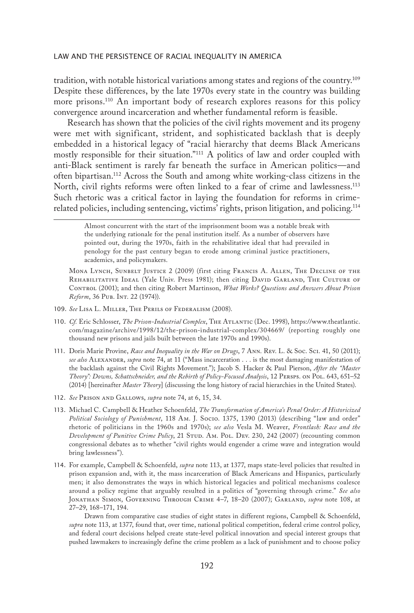tradition, with notable historical variations among states and regions of the country.109 Despite these differences, by the late 1970s every state in the country was building more prisons.110 An important body of research explores reasons for this policy convergence around incarceration and whether fundamental reform is feasible.

Research has shown that the policies of the civil rights movement and its progeny were met with significant, strident, and sophisticated backlash that is deeply embedded in a historical legacy of "racial hierarchy that deems Black Americans mostly responsible for their situation."111 A politics of law and order coupled with anti-Black sentiment is rarely far beneath the surface in American politics—and often bipartisan.112 Across the South and among white working-class citizens in the North, civil rights reforms were often linked to a fear of crime and lawlessness.113 Such rhetoric was a critical factor in laying the foundation for reforms in crimerelated policies, including sentencing, victims' rights, prison litigation, and policing.114

Almost concurrent with the start of the imprisonment boom was a notable break with the underlying rationale for the penal institution itself. As a number of observers have pointed out, during the 1970s, faith in the rehabilitative ideal that had prevailed in penology for the past century began to erode among criminal justice practitioners, academics, and policymakers.

Mona Lynch, Sunbelt Justice 2 (2009) (first citing Francis A. Allen, The Decline of the REHABILITATIVE IDEAL (Yale Univ. Press 1981); then citing DAVID GARLAND, THE CULTURE OF CONTROL (2001); and then citing Robert Martinson, *What Works? Questions and Answers About Prison Reform*, 36 Pub. INT. 22 (1974)).

- 109. *See* Lisa L. Miller, The Perils of Federalism (2008).
- 110. *Cf.* Eric Schlosser, *The Prison-Industrial Complex*, The Atlantic (Dec. 1998), https://www.theatlantic. com/magazine/archive/1998/12/the-prison-industrial-complex/304669/ (reporting roughly one thousand new prisons and jails built between the late 1970s and 1990s).
- 111. Doris Marie Provine, *Race and Inequality in the War on Drugs*, 7 Ann. Rev. L. & Soc. Sci. 41, 50 (2011); *see also* Alexander, *supra* note 74, at 11 ("Mass incarceration . . . is the most damaging manifestation of the backlash against the Civil Rights Movement."); Jacob S. Hacker & Paul Pierson, *After the "Master Theory": Downs, Schattschneider, and the Rebirth of Policy-Focused Analysis*, 12 Persps. on Pol. 643, 651–52 (2014) [hereinafter *Master Theory*] (discussing the long history of racial hierarchies in the United States).
- 112. *See* Prison and Gallows, *supra* note 74, at 6, 15, 34.
- 113. Michael C. Campbell & Heather Schoenfeld, *The Transformation of America's Penal Order: A Historicized Political Sociology of Punishment*, 118 Am. J. Socio. 1375, 1390 (2013) (describing "law and order" rhetoric of politicians in the 1960s and 1970s); *see also* Vesla M. Weaver, *Frontlash: Race and the Development of Punitive Crime Policy*, 21 Stud. Am. Pol. Dev. 230, 242 (2007) (recounting common congressional debates as to whether "civil rights would engender a crime wave and integration would bring lawlessness").
- 114. For example, Campbell & Schoenfeld, *supra* note 113, at 1377, maps state-level policies that resulted in prison expansion and, with it, the mass incarceration of Black Americans and Hispanics, particularly men; it also demonstrates the ways in which historical legacies and political mechanisms coalesce around a policy regime that arguably resulted in a politics of "governing through crime." *See also* Jonathan Simon, Governing Through Crime 4–7, 18–20 (2007); Garland, *supra* note 108, at 27–29, 168–171, 194.

Drawn from comparative case studies of eight states in different regions, Campbell & Schoenfeld, *supra* note 113, at 1377, found that, over time, national political competition, federal crime control policy, and federal court decisions helped create state-level political innovation and special interest groups that pushed lawmakers to increasingly define the crime problem as a lack of punishment and to choose policy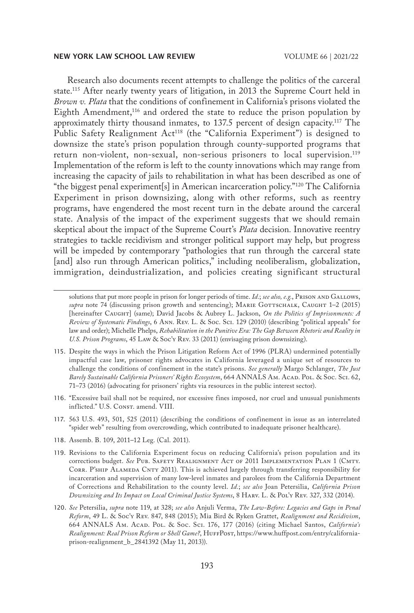Research also documents recent attempts to challenge the politics of the carceral state.115 After nearly twenty years of litigation, in 2013 the Supreme Court held in *Brown v. Plata* that the conditions of confinement in California's prisons violated the Eighth Amendment,116 and ordered the state to reduce the prison population by approximately thirty thousand inmates, to 137.5 percent of design capacity.117 The Public Safety Realignment Act<sup>118</sup> (the "California Experiment") is designed to downsize the state's prison population through county-supported programs that return non-violent, non-sexual, non-serious prisoners to local supervision.<sup>119</sup> Implementation of the reform is left to the county innovations which may range from increasing the capacity of jails to rehabilitation in what has been described as one of "the biggest penal experiment[s] in American incarceration policy."120 The California Experiment in prison downsizing, along with other reforms, such as reentry programs, have engendered the most recent turn in the debate around the carceral state. Analysis of the impact of the experiment suggests that we should remain skeptical about the impact of the Supreme Court's *Plata* decision*.* Innovative reentry strategies to tackle recidivism and stronger political support may help, but progress will be impeded by contemporary "pathologies that run through the carceral state [and] also run through American politics," including neoliberalism, globalization, immigration, deindustrialization, and policies creating significant structural

- 116. "Excessive bail shall not be required, nor excessive fines imposed, nor cruel and unusual punishments inflicted." U.S. Const. amend. VIII.
- 117. 563 U.S. 493, 501, 525 (2011) (describing the conditions of confinement in issue as an interrelated "spider web" resulting from overcrowding, which contributed to inadequate prisoner healthcare).
- 118. Assemb. B. 109, 2011–12 Leg. (Cal. 2011).
- 119. Revisions to the California Experiment focus on reducing California's prison population and its corrections budget. *See* Pub. Safety Realignment Act of 2011 Implementation Plan 1 (Cmty. CORR. P'SHIP ALAMEDA CNTY 2011). This is achieved largely through transferring responsibility for incarceration and supervision of many low-level inmates and parolees from the California Department of Corrections and Rehabilitation to the county level. *Id.*; *see also* Joan Petersilia, *California Prison Downsizing and Its Impact on Local Criminal Justice Systems*, 8 Harv. L. & Pol'y Rev. 327, 332 (2014).
- 120. *See* Petersilia, *supra* note 119, at 328; *see also* Anjuli Verma, *The Law-Before: Legacies and Gaps in Penal Reform*, 49 L. & Soc'y Rev. 847, 848 (2015); Mia Bird & Ryken Grattet, *Realignment and Recidivism*, 664 ANNALS Am. Acad. Pol. & Soc. Sci. 176, 177 (2016) (citing Michael Santos, *California's*  Realignment: Real Prison Reform or Shell Game?, HUFFPOST, https://www.huffpost.com/entry/californiaprison-realignment\_b\_2841392 (May 11, 2013)).

solutions that put more people in prison for longer periods of time. *Id.*; *see also, e.g.*, Prison and Gallows, supra note 74 (discussing prison growth and sentencing); MARIE GOTTSCHALK, CAUGHT 1-2 (2015) [hereinafter Caught] (same); David Jacobs & Aubrey L. Jackson, *On the Politics of Imprisonments: A Review of Systematic Findings*, 6 Ann. Rev. L. & Soc. Sci. 129 (2010) (describing "political appeals" for law and order); Michelle Phelps, *Rehabilitation in the Punitive Era: The Gap Between Rhetoric and Reality in U.S. Prison Programs*, 45 Law & Soc'y Rev. 33 (2011) (envisaging prison downsizing).

<sup>115.</sup> Despite the ways in which the Prison Litigation Reform Act of 1996 (PLRA) undermined potentially impactful case law, prisoner rights advocates in California leveraged a unique set of resources to challenge the conditions of confinement in the state's prisons. *See generally* Margo Schlanger, *The Just*  Barely Sustainable California Prisoners' Rights Ecosystem, 664 ANNALS AM. ACAD. POL. & Soc. Sci. 62, 71–73 (2016) (advocating for prisoners' rights via resources in the public interest sector).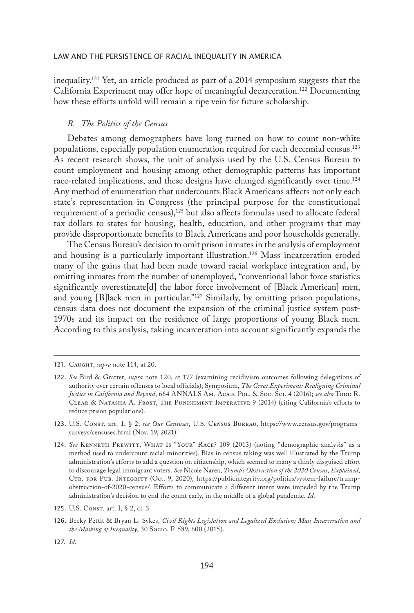inequality.<sup>121</sup> Yet, an article produced as part of a 2014 symposium suggests that the California Experiment may offer hope of meaningful decarceration.122 Documenting how these efforts unfold will remain a ripe vein for future scholarship.

#### *B. The Politics of the Census*

Debates among demographers have long turned on how to count non-white populations, especially population enumeration required for each decennial census.123 As recent research shows, the unit of analysis used by the U.S. Census Bureau to count employment and housing among other demographic patterns has important race-related implications, and these designs have changed significantly over time.<sup>124</sup> Any method of enumeration that undercounts Black Americans affects not only each state's representation in Congress (the principal purpose for the constitutional requirement of a periodic census),<sup>125</sup> but also affects formulas used to allocate federal tax dollars to states for housing, health, education, and other programs that may provide disproportionate benefits to Black Americans and poor households generally.

The Census Bureau's decision to omit prison inmates in the analysis of employment and housing is a particularly important illustration.<sup>126</sup> Mass incarceration eroded many of the gains that had been made toward racial workplace integration and, by omitting inmates from the number of unemployed, "conventional labor force statistics significantly overestimate[d] the labor force involvement of [Black American] men, and young [B]lack men in particular."127 Similarly, by omitting prison populations, census data does not document the expansion of the criminal justice system post-1970s and its impact on the residence of large proportions of young Black men. According to this analysis, taking incarceration into account significantly expands the

123. U.S. Const. art. 1, § 2; *see Our Censuses*, U.S. Census Bureau, https://www.census.gov/programssurveys/censuses.html (Nov. 19, 2021).

127. *Id.*

<sup>121.</sup> Caught, *supra* note 114, at 20.

<sup>122.</sup> *See* Bird & Grattet, *supra* note 120, at 177 (examining recidivism outcomes following delegations of authority over certain offenses to local officials); Symposium, *The Great Experiment: Realigning Criminal*  Justice in California and Beyond, 664 ANNALS Am. Acap. Pol. & Soc. Sci. 4 (2016); see also Topp R. Clear & Natasha A. Frost, The Punishment Imperative 9 (2014) (citing California's efforts to reduce prison populations).

<sup>124.</sup> *See* Kenneth Prewitt, What Is "Your" Race? 109 (2013) (noting "demographic analysis" as a method used to undercount racial minorities). Bias in census taking was well illustrated by the Trump administration's efforts to add a question on citizenship, which seemed to many a thinly disguised effort to discourage legal immigrant voters. *See* Nicole Narea, *Trump's Obstruction of the 2020 Census, Explained*, CTR. FOR PUB. INTEGRITY (Oct. 9, 2020), https://publicintegrity.org/politics/system-failure/trumpobstruction-of-2020-census/. Efforts to communicate a different intent were impeded by the Trump administration's decision to end the count early, in the middle of a global pandemic. *Id.*

<sup>125.</sup> U.S. Const. art. I, § 2, cl. 3.

<sup>126.</sup> Becky Pettit & Bryan L. Sykes, *Civil Rights Legislation and Legalized Exclusion: Mass Incarceration and the Masking of Inequality*, 30 Socio. F. 589, 600 (2015).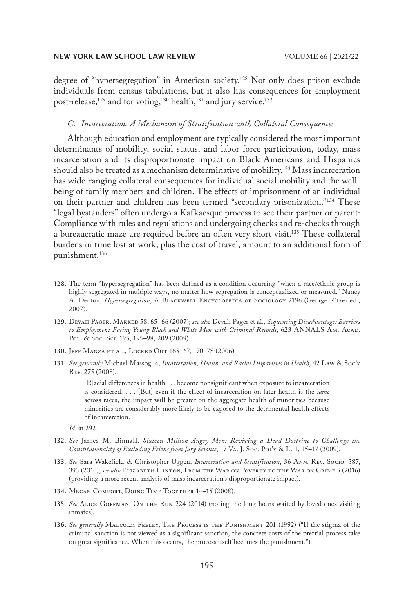degree of "hypersegregation" in American society.128 Not only does prison exclude individuals from census tabulations, but it also has consequences for employment post-release,<sup>129</sup> and for voting,<sup>130</sup> health,<sup>131</sup> and jury service.<sup>132</sup>

#### *C. Incarceration: A Mechanism of Stratification with Collateral Consequences*

Although education and employment are typically considered the most important determinants of mobility, social status, and labor force participation, today, mass incarceration and its disproportionate impact on Black Americans and Hispanics should also be treated as a mechanism determinative of mobility.<sup>133</sup> Mass incarceration has wide-ranging collateral consequences for individual social mobility and the wellbeing of family members and children. The effects of imprisonment of an individual on their partner and children has been termed "secondary prisonization."134 These "legal bystanders" often undergo a Kafkaesque process to see their partner or parent: Compliance with rules and regulations and undergoing checks and re-checks through a bureaucratic maze are required before an often very short visit.135 These collateral burdens in time lost at work, plus the cost of travel, amount to an additional form of punishment.136

- 128. The term "hypersegregation" has been defined as a condition occurring "when a race/ethnic group is highly segregated in multiple ways, no matter how segregation is conceptualized or measured." Nancy A. Denton, *Hypersegregation*, *in* Blackwell Encyclopedia of Sociology 2196 (George Ritzer ed., 2007).
- 129. Devah Pager, Marked 58, 65–66 (2007); *see also* Devah Pager et al., *Sequencing Disadvantage: Barriers*  to Employment Facing Young Black and White Men with Criminal Records, 623 ANNALS AM. ACAD. Pol. & Soc. Sci. 195, 195–98, 209 (2009).
- 130. Jeff Manza et al., Locked Out 165–67, 170–78 (2006).
- 131. *See generally* Michael Massoglia, *Incarceration, Health, and Racial Disparities in Health*, 42 Law & Soc'y Rev. 275 (2008).

[R]acial differences in health . . . become nonsignificant when exposure to incarceration is considered. . . . [But] even if the effect of incarceration on later health is the *same*  across races, the impact will be greater on the aggregate health of minorities because minorities are considerably more likely to be exposed to the detrimental health effects of incarceration.

- *Id.* at 292.
- 132. *See* James M. Binnall, *Sixteen Million Angry Men: Reviving a Dead Doctrine to Challenge the Constitutionality of Excluding Felons from Jury Service*, 17 Va. J. Soc. Pol'y & L. 1, 15–17 (2009).
- 133. *See* Sara Wakefield & Christopher Uggen, *Incarceration and Stratification*, 36 Ann. Rev. Socio. 387, 393 (2010); *see also* Elizabeth Hinton, From the War on Poverty to the War on Crime 5 (2016) (providing a more recent analysis of mass incarceration's disproportionate impact).
- 134. Megan Comfort, Doing Time Together 14-15 (2008).
- 135. *See* Alice Goffman, On the Run 224 (2014) (noting the long hours waited by loved ones visiting inmates).
- 136. *See generally* Malcolm Feeley, The Process is the Punishment 201 (1992) ("If the stigma of the criminal sanction is not viewed as a significant sanction, the concrete costs of the pretrial process take on great significance. When this occurs, the process itself becomes the punishment.").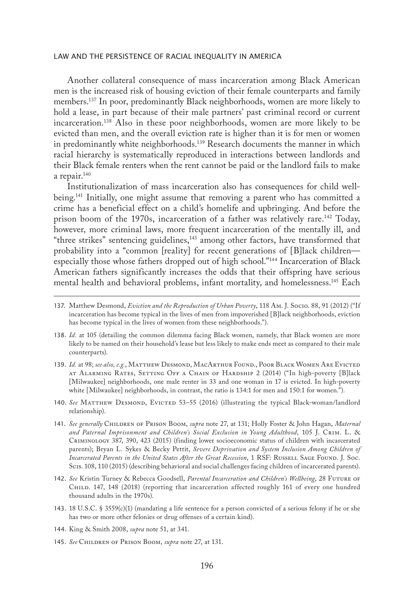Another collateral consequence of mass incarceration among Black American men is the increased risk of housing eviction of their female counterparts and family members.137 In poor, predominantly Black neighborhoods, women are more likely to hold a lease, in part because of their male partners' past criminal record or current incarceration.138 Also in these poor neighborhoods, women are more likely to be evicted than men, and the overall eviction rate is higher than it is for men or women in predominantly white neighborhoods.<sup>139</sup> Research documents the manner in which racial hierarchy is systematically reproduced in interactions between landlords and their Black female renters when the rent cannot be paid or the landlord fails to make a repair.<sup>140</sup>

Institutionalization of mass incarceration also has consequences for child wellbeing.<sup>141</sup> Initially, one might assume that removing a parent who has committed a crime has a beneficial effect on a child's homelife and upbringing. And before the prison boom of the 1970s, incarceration of a father was relatively rare.<sup>142</sup> Today, however, more criminal laws, more frequent incarceration of the mentally ill, and "three strikes" sentencing guidelines,<sup>143</sup> among other factors, have transformed that probability into a "common [reality] for recent generations of [B]lack children especially those whose fathers dropped out of high school."144 Incarceration of Black American fathers significantly increases the odds that their offspring have serious mental health and behavioral problems, infant mortality, and homelessness.145 Each

- 138. *Id.* at 105 (detailing the common dilemma facing Black women, namely, that Black women are more likely to be named on their household's lease but less likely to make ends meet as compared to their male counterparts).
- 139. *Id.* at 98; *see also, e.g.*, MATTHEW DESMOND, MACARTHUR FOUND., POOR BLACK WOMEN ARE EVICTED at Alarming Rates, Setting Off a Chain of Hardship 2 (2014) ("In high-poverty [B]lack [Milwaukee] neighborhoods, one male renter in 33 and one woman in 17 is evicted. In high-poverty white [Milwaukee] neighborhoods, in contrast, the ratio is 134:1 for men and 150:1 for women.").
- 140. See MATTHEW DESMOND, EVICTED 53-55 (2016) (illustrating the typical Black-woman/landlord relationship).
- 141. *See generally* Children of Prison Boom, *supra* note 27, at 131; Holly Foster & John Hagan, *Maternal and Paternal Imprisonment and Children's Social Exclusion in Young Adulthood*, 105 J. Crim. L. & Criminology 387, 390, 423 (2015) (finding lower socioeconomic status of children with incarcerated parents); Bryan L. Sykes & Becky Pettit, *Severe Deprivation and System Inclusion Among Children of Incarcerated Parents in the United States After the Great Recession*, 1 RSF: RUSSELL SAGE FOUND. J. Soc. Scis. 108, 110 (2015) (describing behavioral and social challenges facing children of incarcerated parents).
- 142. *See* Kristin Turney & Rebecca Goodsell, *Parental Incarceration and Children's Wellbeing*, 28 Future of Child. 147, 148 (2018) (reporting that incarceration affected roughly 161 of every one hundred thousand adults in the 1970s).
- 143. 18 U.S.C. § 3559(c)(1) (mandating a life sentence for a person convicted of a serious felony if he or she has two or more other felonies or drug offenses of a certain kind).
- 144. King & Smith 2008, *supra* note 51, at 341.
- 145. *See* Children of Prison Boom, *supra* note 27, at 131.

<sup>137.</sup> Matthew Desmond, *Eviction and the Reproduction of Urban Poverty*, 118 Am. J. Socio. 88, 91 (2012) ("If incarceration has become typical in the lives of men from impoverished [B]lack neighborhoods, eviction has become typical in the lives of women from these neighborhoods.").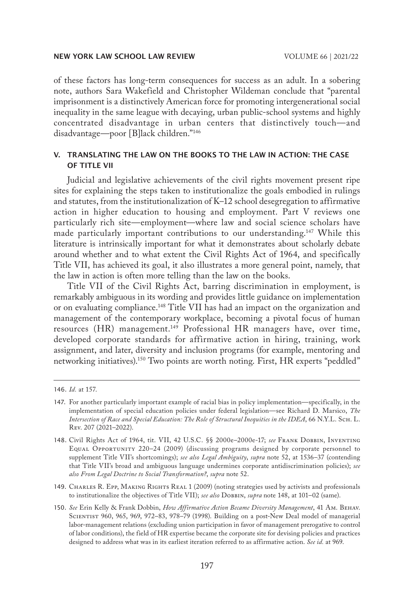of these factors has long-term consequences for success as an adult. In a sobering note, authors Sara Wakefield and Christopher Wildeman conclude that "parental imprisonment is a distinctively American force for promoting intergenerational social inequality in the same league with decaying, urban public-school systems and highly concentrated disadvantage in urban centers that distinctively touch—and disadvantage—poor [B]lack children."146

## V. TRANSLATING THE LAW ON THE BOOKS TO THE LAW IN ACTION: THE CASE OF TITLE VII

Judicial and legislative achievements of the civil rights movement present ripe sites for explaining the steps taken to institutionalize the goals embodied in rulings and statutes, from the institutionalization of K–12 school desegregation to affirmative action in higher education to housing and employment. Part V reviews one particularly rich site—employment—where law and social science scholars have made particularly important contributions to our understanding.<sup>147</sup> While this literature is intrinsically important for what it demonstrates about scholarly debate around whether and to what extent the Civil Rights Act of 1964, and specifically Title VII, has achieved its goal, it also illustrates a more general point, namely, that the law in action is often more telling than the law on the books.

Title VII of the Civil Rights Act, barring discrimination in employment, is remarkably ambiguous in its wording and provides little guidance on implementation or on evaluating compliance.148 Title VII has had an impact on the organization and management of the contemporary workplace, becoming a pivotal focus of human resources (HR) management.<sup>149</sup> Professional HR managers have, over time, developed corporate standards for affirmative action in hiring, training, work assignment, and later, diversity and inclusion programs (for example, mentoring and networking initiatives).150 Two points are worth noting. First, HR experts "peddled"

- 149. CHARLES R. EPP, MAKING RIGHTS REAL 1 (2009) (noting strategies used by activists and professionals to institutionalize the objectives of Title VII); *see also* DOBBIN, *supra* note 148, at 101-02 (same).
- 150. *See* Erin Kelly & Frank Dobbin, *How Affirmative Action Became Diversity Management*, 41 Am. Behav. Scientist 960, 965, 969, 972–83, 978–79 (1998). Building on a post-New Deal model of managerial labor-management relations (excluding union participation in favor of management prerogative to control of labor conditions), the field of HR expertise became the corporate site for devising policies and practices designed to address what was in its earliest iteration referred to as affirmative action. *See id.* at 969.

<sup>146.</sup> *Id.* at 157.

<sup>147.</sup> For another particularly important example of racial bias in policy implementation—specifically, in the implementation of special education policies under federal legislation—see Richard D. Marsico, *The Intersection of Race and Special Education: The Role of Structural Inequities in the IDEA*, 66 N.Y.L. Sch. L. Rev. 207 (2021–2022).

<sup>148.</sup> Civil Rights Act of 1964, tit. VII, 42 U.S.C. §§ 2000e–2000e-17; *see* Frank Dobbin, Inventing Equal Opportunity 220–24 (2009) (discussing programs designed by corporate personnel to supplement Title VII's shortcomings); *see also Legal Ambiguity*, *supra* note 52, at 1536–37 (contending that Title VII's broad and ambiguous language undermines corporate antidiscrimination policies); *see also From Legal Doctrine to Social Transformation?*, *supra* note 52.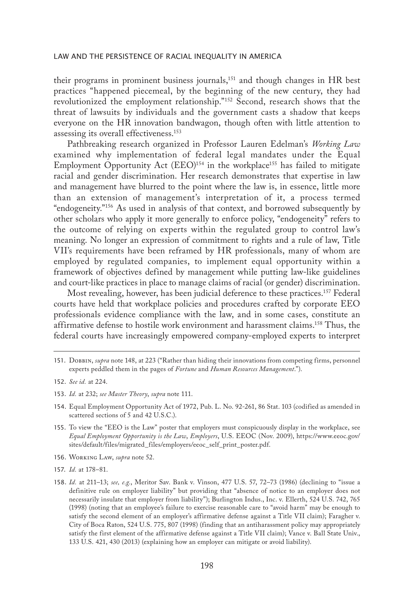their programs in prominent business journals,151 and though changes in HR best practices "happened piecemeal, by the beginning of the new century, they had revolutionized the employment relationship."152 Second, research shows that the threat of lawsuits by individuals and the government casts a shadow that keeps everyone on the HR innovation bandwagon, though often with little attention to assessing its overall effectiveness.153

Pathbreaking research organized in Professor Lauren Edelman's *Working Law* examined why implementation of federal legal mandates under the Equal Employment Opportunity Act (EEO)<sup>154</sup> in the workplace<sup>155</sup> has failed to mitigate racial and gender discrimination. Her research demonstrates that expertise in law and management have blurred to the point where the law is, in essence, little more than an extension of management's interpretation of it, a process termed "endogeneity."156 As used in analysis of that context, and borrowed subsequently by other scholars who apply it more generally to enforce policy, "endogeneity" refers to the outcome of relying on experts within the regulated group to control law's meaning. No longer an expression of commitment to rights and a rule of law, Title VII's requirements have been reframed by HR professionals, many of whom are employed by regulated companies, to implement equal opportunity within a framework of objectives defined by management while putting law-like guidelines and court-like practices in place to manage claims of racial (or gender) discrimination.

Most revealing, however, has been judicial deference to these practices.157 Federal courts have held that workplace policies and procedures crafted by corporate EEO professionals evidence compliance with the law, and in some cases, constitute an affirmative defense to hostile work environment and harassment claims.158 Thus, the federal courts have increasingly empowered company-employed experts to interpret

- 156. Working Law, *supra* note 52.
- 157. *Id.* at 178–81.
- 158. *Id.* at 211–13; *see, e.g.*, Meritor Sav. Bank v. Vinson, 477 U.S. 57, 72–73 (1986) (declining to "issue a definitive rule on employer liability" but providing that "absence of notice to an employer does not necessarily insulate that employer from liability"); Burlington Indus., Inc. v. Ellerth, 524 U.S. 742, 765 (1998) (noting that an employee's failure to exercise reasonable care to "avoid harm" may be enough to satisfy the second element of an employer's affirmative defense against a Title VII claim); Faragher v. City of Boca Raton, 524 U.S. 775, 807 (1998) (finding that an antiharassment policy may appropriately satisfy the first element of the affirmative defense against a Title VII claim); Vance v. Ball State Univ., 133 U.S. 421, 430 (2013) (explaining how an employer can mitigate or avoid liability).

<sup>151.</sup> Dobbin, *supra* note 148, at 223 ("Rather than hiding their innovations from competing firms, personnel experts peddled them in the pages of *Fortune* and *Human Resources Management*.").

<sup>152.</sup> *See id.* at 224.

<sup>153.</sup> *Id.* at 232; *see Master Theory*, *supra* note 111.

<sup>154.</sup> Equal Employment Opportunity Act of 1972, Pub. L. No. 92-261, 86 Stat. 103 (codified as amended in scattered sections of 5 and 42 U.S.C.).

<sup>155.</sup> To view the "EEO is the Law" poster that employers must conspicuously display in the workplace, see *Equal Employment Opportunity is the Law*, *Employers*, U.S. EEOC (Nov. 2009), https://www.eeoc.gov/ sites/default/files/migrated\_files/employers/eeoc\_self\_print\_poster.pdf.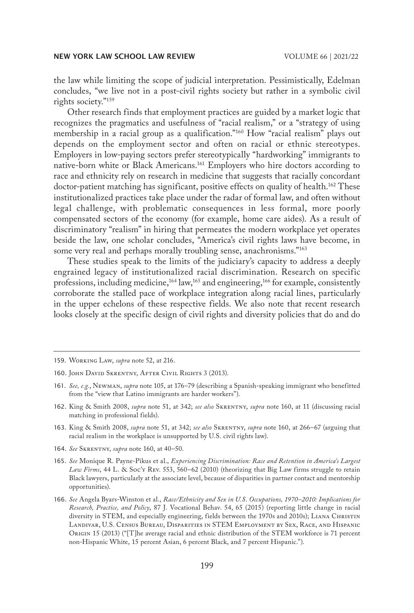the law while limiting the scope of judicial interpretation. Pessimistically, Edelman concludes, "we live not in a post-civil rights society but rather in a symbolic civil rights society."159

Other research finds that employment practices are guided by a market logic that recognizes the pragmatics and usefulness of "racial realism," or a "strategy of using membership in a racial group as a qualification."160 How "racial realism" plays out depends on the employment sector and often on racial or ethnic stereotypes. Employers in low-paying sectors prefer stereotypically "hardworking" immigrants to native-born white or Black Americans.161 Employers who hire doctors according to race and ethnicity rely on research in medicine that suggests that racially concordant doctor-patient matching has significant, positive effects on quality of health.<sup>162</sup> These institutionalized practices take place under the radar of formal law, and often without legal challenge, with problematic consequences in less formal, more poorly compensated sectors of the economy (for example, home care aides). As a result of discriminatory "realism" in hiring that permeates the modern workplace yet operates beside the law, one scholar concludes, "America's civil rights laws have become, in some very real and perhaps morally troubling sense, anachronisms."<sup>163</sup>

These studies speak to the limits of the judiciary's capacity to address a deeply engrained legacy of institutionalized racial discrimination. Research on specific professions, including medicine,<sup>164</sup> law,<sup>165</sup> and engineering,<sup>166</sup> for example, consistently corroborate the stalled pace of workplace integration along racial lines, particularly in the upper echelons of these respective fields. We also note that recent research looks closely at the specific design of civil rights and diversity policies that do and do

- 163. King & Smith 2008, *supra* note 51, at 342; *see also* Skrentny, *supra* note 160, at 266–67 (arguing that racial realism in the workplace is unsupported by U.S. civil rights law).
- 164. *See* Skrentny, *supra* note 160, at 40–50.
- 165. *See* Monique R. Payne-Pikus et al., *Experiencing Discrimination: Race and Retention in America's Largest Law Firms*, 44 L. & Soc'y Rev. 553, 560–62 (2010) (theorizing that Big Law firms struggle to retain Black lawyers, particularly at the associate level, because of disparities in partner contact and mentorship opportunities).
- 166. *See* Angela Byars-Winston et al., *Race/Ethnicity and Sex in U.S. Occupations, 1970–2010: Implications for Research, Practice, and Policy*, 87 J. Vocational Behav. 54, 65 (2015) (reporting little change in racial diversity in STEM, and especially engineering, fields between the 1970s and 2010s); LIANA CHRISTIN Landivar, U.S. Census Bureau, Disparities in STEM Employment by Sex, Race, and Hispanic Origin 15 (2013) ("[T]he average racial and ethnic distribution of the STEM workforce is 71 percent non-Hispanic White, 15 percent Asian, 6 percent Black, and 7 percent Hispanic.").

<sup>159.</sup> Working Law, *supra* note 52, at 216.

<sup>160.</sup> JOHN DAVID SKRENTNY, AFTER CIVIL RIGHTS 3 (2013).

<sup>161.</sup> *See, e.g.*, Newman, *supra* note 105, at 176–79 (describing a Spanish-speaking immigrant who benefitted from the "view that Latino immigrants are harder workers").

<sup>162.</sup> King & Smith 2008, *supra* note 51, at 342; *see also* Skrentny, *supra* note 160, at 11 (discussing racial matching in professional fields).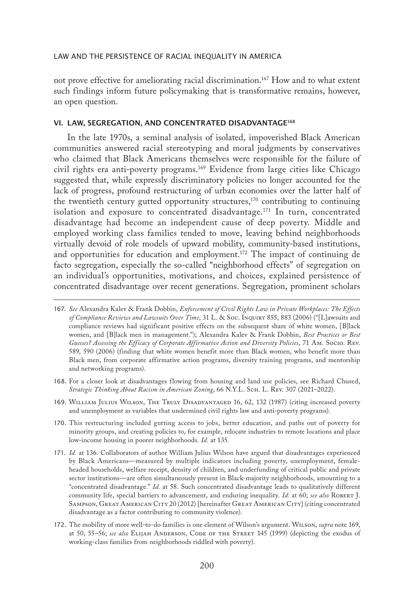not prove effective for ameliorating racial discrimination.167 How and to what extent such findings inform future policymaking that is transformative remains, however, an open question.

#### VI. LAW, SEGREGATION, AND CONCENTRATED DISADVANTAGE168

In the late 1970s, a seminal analysis of isolated, impoverished Black American communities answered racial stereotyping and moral judgments by conservatives who claimed that Black Americans themselves were responsible for the failure of civil rights era anti-poverty programs.169 Evidence from large cities like Chicago suggested that, while expressly discriminatory policies no longer accounted for the lack of progress, profound restructuring of urban economies over the latter half of the twentieth century gutted opportunity structures, $170$  contributing to continuing isolation and exposure to concentrated disadvantage.<sup>171</sup> In turn, concentrated disadvantage had become an independent cause of deep poverty. Middle and employed working class families tended to move, leaving behind neighborhoods virtually devoid of role models of upward mobility, community-based institutions, and opportunities for education and employment.172 The impact of continuing de facto segregation, especially the so-called "neighborhood effects" of segregation on an individual's opportunities, motivations, and choices, explained persistence of concentrated disadvantage over recent generations. Segregation, prominent scholars

- 169. WILLIAM JULIUS WILSON, THE TRULY DISADVANTAGED 16, 62, 132 (1987) (citing increased poverty and unemployment as variables that undermined civil rights law and anti-poverty programs).
- 170. This restructuring included gutting access to jobs, better education, and paths out of poverty for minority groups, and creating policies to, for example, relocate industries to remote locations and place low-income housing in poorer neighborhoods. *Id.* at 135.
- 171. *Id.* at 136. Collaborators of author William Julius Wilson have argued that disadvantages experienced by Black Americans—measured by multiple indicators including poverty, unemployment, femaleheaded households, welfare receipt, density of children, and underfunding of critical public and private sector institutions—are often simultaneously present in Black-majority neighborhoods, amounting to a "concentrated disadvantage." *Id.* at 58. Such concentrated disadvantage leads to qualitatively different community life, special barriers to advancement, and enduring inequality. *Id.* at 60; *see also* Robert J. SAMPSON, GREAT AMERICAN CITY 20 (2012) [hereinafter GREAT AMERICAN CITY] (citing concentrated disadvantage as a factor contributing to community violence).
- 172. The mobility of more well-to-do families is one element of Wilson's argument. Wilson, *supra* note 169, at 50, 55–56; *see also* Elijah Anderson, Code of the Street 145 (1999) (depicting the exodus of working-class families from neighborhoods riddled with poverty).

<sup>167.</sup> *See* Alexandra Kalev & Frank Dobbin, *Enforcement of Civil Rights Law in Private Workplaces: The Effects of Compliance Reviews and Lawsuits Over Time*, 31 L. & Soc. Inquiry 855, 883 (2006) ("[L]awsuits and compliance reviews had significant positive effects on the subsequent share of white women, [B]lack women, and [B]lack men in management."); Alexandra Kalev & Frank Dobbin, *Best Practices or Best Guesses? Assessing the Efficacy of Corporate Affirmative Action and Diversity Policies*, 71 Am. Socio. Rev. 589, 590 (2006) (finding that white women benefit more than Black women, who benefit more than Black men, from corporate affirmative action programs, diversity training programs, and mentorship and networking programs).

<sup>168.</sup> For a closer look at disadvantages flowing from housing and land use policies, see Richard Chused, *Strategic Thinking About Racism in American Zoning*, 66 N.Y.L. Sch. L. Rev. 307 (2021–2022).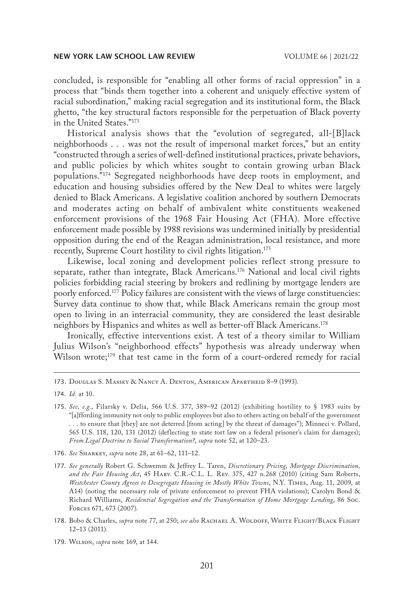concluded, is responsible for "enabling all other forms of racial oppression" in a process that "binds them together into a coherent and uniquely effective system of racial subordination," making racial segregation and its institutional form, the Black ghetto, "the key structural factors responsible for the perpetuation of Black poverty in the United States."173

Historical analysis shows that the "evolution of segregated, all-[B]lack neighborhoods . . . was not the result of impersonal market forces," but an entity "constructed through a series of well-defined institutional practices, private behaviors, and public policies by which whites sought to contain growing urban Black populations."174 Segregated neighborhoods have deep roots in employment, and education and housing subsidies offered by the New Deal to whites were largely denied to Black Americans. A legislative coalition anchored by southern Democrats and moderates acting on behalf of ambivalent white constituents weakened enforcement provisions of the 1968 Fair Housing Act (FHA). More effective enforcement made possible by 1988 revisions was undermined initially by presidential opposition during the end of the Reagan administration, local resistance, and more recently, Supreme Court hostility to civil rights litigation.<sup>175</sup>

Likewise, local zoning and development policies reflect strong pressure to separate, rather than integrate, Black Americans.176 National and local civil rights policies forbidding racial steering by brokers and redlining by mortgage lenders are poorly enforced.177 Policy failures are consistent with the views of large constituencies: Survey data continue to show that, while Black Americans remain the group most open to living in an interracial community, they are considered the least desirable neighbors by Hispanics and whites as well as better-off Black Americans.178

Ironically, effective interventions exist. A test of a theory similar to William Julius Wilson's "neighborhood effects" hypothesis was already underway when Wilson wrote;<sup>179</sup> that test came in the form of a court-ordered remedy for racial

176. *See* Sharkey, *supra* note 28, at 61–62, 111–12.

- 178. Bobo & Charles, *supra* note 77, at 250; *see also* Rachael A. Woldoff, White Flight/Black Flight 12–13 (2011).
- 179. Wilson, *supra* note 169, at 144.

<sup>173.</sup> Douglas S. Massey & Nancy A. Denton, American Apartheid 8–9 (1993).

<sup>174.</sup> *Id.* at 10.

<sup>175.</sup> *See, e.g.*, Filarsky v. Delia, 566 U.S. 377, 389–92 (2012) (exhibiting hostility to § 1983 suits by "[a]ffording immunity not only to public employees but also to others acting on behalf of the government . . . to ensure that [they] are not deterred [from acting] by the threat of damages"); Minneci v. Pollard, 565 U.S. 118, 120, 131 (2012) (deflecting to state tort law on a federal prisoner's claim for damages); *From Legal Doctrine to Social Transformation?*, *supra* note 52, at 120–23.

<sup>177.</sup> *See generally* Robert G. Schwemm & Jeffrey L. Taren, *Discretionary Pricing, Mortgage Discrimination, and the Fair Housing Act*, 45 Harv. C.R.-C.L. L. Rev. 375, 427 n.268 (2010) (citing Sam Roberts, *Westchester County Agrees to Desegregate Housing in Mostly White Towns*, N.Y. Times, Aug. 11, 2009, at A14) (noting the necessary role of private enforcement to prevent FHA violations); Carolyn Bond & Richard Williams, *Residential Segregation and the Transformation of Home Mortgage Lending*, 86 Soc. Forces 671, 673 (2007).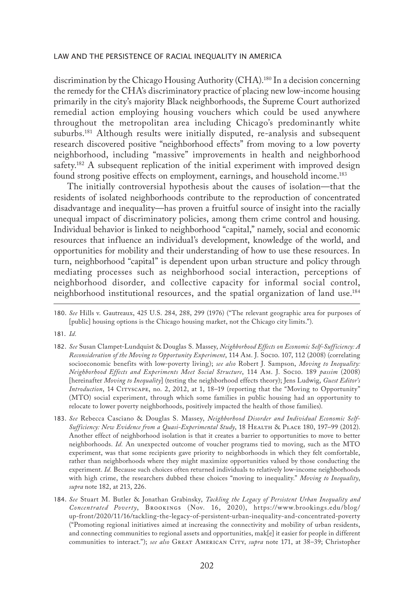discrimination by the Chicago Housing Authority (CHA).<sup>180</sup> In a decision concerning the remedy for the CHA's discriminatory practice of placing new low-income housing primarily in the city's majority Black neighborhoods, the Supreme Court authorized remedial action employing housing vouchers which could be used anywhere throughout the metropolitan area including Chicago's predominantly white suburbs.181 Although results were initially disputed, re-analysis and subsequent research discovered positive "neighborhood effects" from moving to a low poverty neighborhood, including "massive" improvements in health and neighborhood safety.<sup>182</sup> A subsequent replication of the initial experiment with improved design found strong positive effects on employment, earnings, and household income.<sup>183</sup>

The initially controversial hypothesis about the causes of isolation—that the residents of isolated neighborhoods contribute to the reproduction of concentrated disadvantage and inequality—has proven a fruitful source of insight into the racially unequal impact of discriminatory policies, among them crime control and housing. Individual behavior is linked to neighborhood "capital," namely, social and economic resources that influence an individual's development, knowledge of the world, and opportunities for mobility and their understanding of how to use these resources. In turn, neighborhood "capital" is dependent upon urban structure and policy through mediating processes such as neighborhood social interaction, perceptions of neighborhood disorder, and collective capacity for informal social control, neighborhood institutional resources, and the spatial organization of land use.184

181. *Id.*

- 182. *See* Susan Clampet-Lundquist & Douglas S. Massey, *Neighborhood Effects on Economic Self-Sufficiency: A Reconsideration of the Moving to Opportunity Experiment*, 114 Am. J. Socio. 107, 112 (2008) (correlating socioeconomic benefits with low-poverty living); *see also* Robert J. Sampson, *Moving to Inequality: Neighborhood Effects and Experiments Meet Social Structure*, 114 Am. J. Socio. 189 *passim* (2008) [hereinafter *Moving to Inequality*] (testing the neighborhood effects theory); Jens Ludwig, *Guest Editor's Introduction*, 14 CITYSCAPE, no. 2, 2012, at 1, 18-19 (reporting that the "Moving to Opportunity" (MTO) social experiment, through which some families in public housing had an opportunity to relocate to lower poverty neighborhoods, positively impacted the health of those families).
- 183. *See* Rebecca Casciano & Douglas S. Massey, *Neighborhood Disorder and Individual Economic Self-Sufficiency: New Evidence from a Quasi-Experimental Study*, 18 Health & Place 180, 197–99 (2012). Another effect of neighborhood isolation is that it creates a barrier to opportunities to move to better neighborhoods. *Id.* An unexpected outcome of voucher programs tied to moving, such as the MTO experiment, was that some recipients gave priority to neighborhoods in which they felt comfortable, rather than neighborhoods where they might maximize opportunities valued by those conducting the experiment. *Id.* Because such choices often returned individuals to relatively low-income neighborhoods with high crime, the researchers dubbed these choices "moving to inequality." *Moving to Inequality*, *supra* note 182, at 213, 226.
- 184. *See* Stuart M. Butler & Jonathan Grabinsky, *Tackling the Legacy of Persistent Urban Inequality and Concentrated Poverty*, Brookings (Nov. 16, 2020), https://www.brookings.edu/blog/ up-front/2020/11/16/tackling-the-legacy-of-persistent-urban-inequality-and-concentrated-poverty ("Promoting regional initiatives aimed at increasing the connectivity and mobility of urban residents, and connecting communities to regional assets and opportunities, mak[e] it easier for people in different communities to interact."); *see also* Great American City, *supra* note 171, at 38–39; Christopher

<sup>180.</sup> *See* Hills v. Gautreaux, 425 U.S. 284, 288, 299 (1976) ("The relevant geographic area for purposes of [public] housing options is the Chicago housing market, not the Chicago city limits.").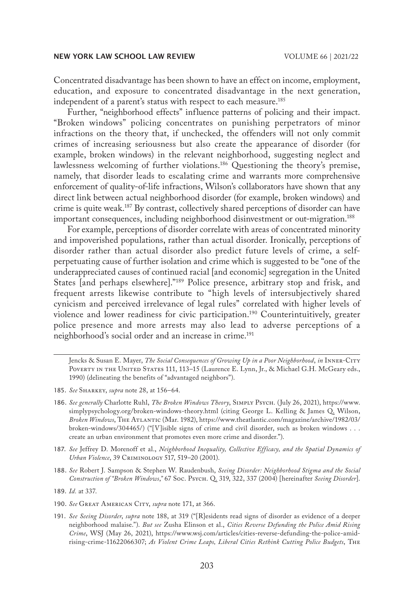Concentrated disadvantage has been shown to have an effect on income, employment, education, and exposure to concentrated disadvantage in the next generation, independent of a parent's status with respect to each measure.<sup>185</sup>

Further, "neighborhood effects" influence patterns of policing and their impact. "Broken windows" policing concentrates on punishing perpetrators of minor infractions on the theory that, if unchecked, the offenders will not only commit crimes of increasing seriousness but also create the appearance of disorder (for example, broken windows) in the relevant neighborhood, suggesting neglect and lawlessness welcoming of further violations.186 Questioning the theory's premise, namely, that disorder leads to escalating crime and warrants more comprehensive enforcement of quality-of-life infractions, Wilson's collaborators have shown that any direct link between actual neighborhood disorder (for example, broken windows) and crime is quite weak.187 By contrast, collectively shared perceptions of disorder can have important consequences, including neighborhood disinvestment or out-migration.<sup>188</sup>

For example, perceptions of disorder correlate with areas of concentrated minority and impoverished populations, rather than actual disorder. Ironically, perceptions of disorder rather than actual disorder also predict future levels of crime, a selfperpetuating cause of further isolation and crime which is suggested to be "one of the underappreciated causes of continued racial [and economic] segregation in the United States [and perhaps elsewhere]."189 Police presence, arbitrary stop and frisk, and frequent arrests likewise contribute to "high levels of intersubjectively shared cynicism and perceived irrelevance of legal rules" correlated with higher levels of violence and lower readiness for civic participation.190 Counterintuitively, greater police presence and more arrests may also lead to adverse perceptions of a neighborhood's social order and an increase in crime.<sup>191</sup>

Jencks & Susan E. Mayer, *The Social Consequences of Growing Up in a Poor Neighborhood*, *in* Inner-City POVERTY IN THE UNITED STATES 111, 113-15 (Laurence E. Lynn, Jr., & Michael G.H. McGeary eds., 1990) (delineating the benefits of "advantaged neighbors").

- 185. *See* Sharkey, *supra* note 28, at 156–64.
- 186. *See generally* Charlotte Ruhl, *The Broken Windows Theory*, Simply Psych. (July 26, 2021), https://www. simplypsychology.org/broken-windows-theory.html (citing George L. Kelling & James Q. Wilson, *Broken Windows*, The Atlantic (Mar. 1982), https://www.theatlantic.com/magazine/archive/1982/03/ broken-windows/304465/) ("[V]isible signs of crime and civil disorder, such as broken windows . . . create an urban environment that promotes even more crime and disorder.").
- 187. *See* Jeffrey D. Morenoff et al., *Neighborhood Inequality, Collective Efficacy, and the Spatial Dynamics of Urban Violence*, 39 Criminology 517, 519–20 (2001).
- 188. *See* Robert J. Sampson & Stephen W. Raudenbush, *Seeing Disorder: Neighborhood Stigma and the Social Construction of "Broken Windows*,*"* 67 Soc. Psych. Q. 319, 322, 337 (2004) [hereinafter *Seeing Disorder*].

191. *See Seeing Disorder*, *supra* note 188, at 319 ("[R]esidents read signs of disorder as evidence of a deeper neighborhood malaise."). *But see* Zusha Elinson et al., *Cities Reverse Defunding the Police Amid Rising Crime*, WSJ (May 26, 2021), https://www.wsj.com/articles/cities-reverse-defunding-the-police-amidrising-crime-11622066307; *As Violent Crime Leaps, Liberal Cities Rethink Cutting Police Budgets*, The

<sup>189.</sup> *Id.* at 337.

<sup>190.</sup> See GREAT AMERICAN CITY, *supra* note 171, at 366.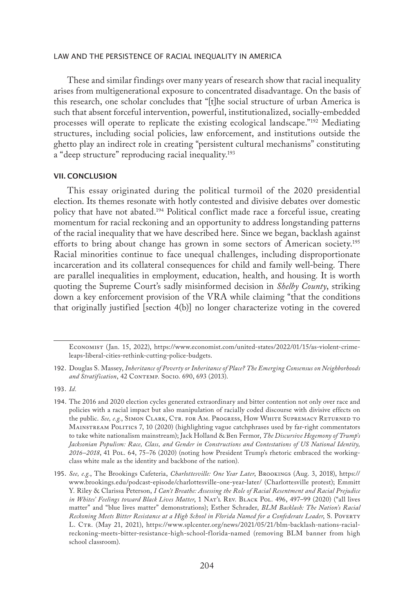These and similar findings over many years of research show that racial inequality arises from multigenerational exposure to concentrated disadvantage. On the basis of this research, one scholar concludes that "[t]he social structure of urban America is such that absent forceful intervention, powerful, institutionalized, socially-embedded processes will operate to replicate the existing ecological landscape."192 Mediating structures, including social policies, law enforcement, and institutions outside the ghetto play an indirect role in creating "persistent cultural mechanisms" constituting a "deep structure" reproducing racial inequality.<sup>193</sup>

#### VII. CONCLUSION

This essay originated during the political turmoil of the 2020 presidential election. Its themes resonate with hotly contested and divisive debates over domestic policy that have not abated.194 Political conflict made race a forceful issue, creating momentum for racial reckoning and an opportunity to address longstanding patterns of the racial inequality that we have described here. Since we began, backlash against efforts to bring about change has grown in some sectors of American society.<sup>195</sup> Racial minorities continue to face unequal challenges, including disproportionate incarceration and its collateral consequences for child and family well-being. There are parallel inequalities in employment, education, health, and housing. It is worth quoting the Supreme Court's sadly misinformed decision in *Shelby County*, striking down a key enforcement provision of the VRA while claiming "that the conditions that originally justified [section 4(b)] no longer characterize voting in the covered

Economist (Jan. 15, 2022), https://www.economist.com/united-states/2022/01/15/as-violent-crimeleaps-liberal-cities-rethink-cutting-police-budgets.

<sup>192.</sup> Douglas S. Massey, *Inheritance of Poverty or Inheritance of Place? The Emerging Consensus on Neighborhoods*  and Stratification, 42 CONTEMP. Socio. 690, 693 (2013).

<sup>193.</sup> *Id.*

<sup>194.</sup> The 2016 and 2020 election cycles generated extraordinary and bitter contention not only over race and policies with a racial impact but also manipulation of racially coded discourse with divisive effects on the public. *See, e.g.*, SIMON CLARK, CTR. FOR AM. PROGRESS, HOW WHITE SUPREMACY RETURNED TO Mainstream Politics 7, 10 (2020) (highlighting vague catchphrases used by far-right commentators to take white nationalism mainstream); Jack Holland & Ben Fermor, *The Discursive Hegemony of Trump's Jacksonian Populism: Race, Class, and Gender in Constructions and Contestations of US National Identity, 2016–2018*, 41 Pol. 64, 75–76 (2020) (noting how President Trump's rhetoric embraced the workingclass white male as the identity and backbone of the nation).

<sup>195.</sup> *See, e.g.*, The Brookings Cafeteria, *Charlottesville: One Year Later*, Brookings (Aug. 3, 2018), https:// www.brookings.edu/podcast-episode/charlottesville-one-year-later/ (Charlottesville protest); Emmitt Y. Riley & Clarissa Peterson, *I Can't Breathe: Assessing the Role of Racial Resentment and Racial Prejudice*  in Whites' Feelings toward Black Lives Matter, 1 NAT'L REV. BLACK POL. 496, 497-99 (2020) ("all lives matter" and "blue lives matter" demonstrations); Esther Schrader, *BLM Backlash: The Nation's Racial Reckoning Meets Bitter Resistance at a High School in Florida Named for a Confederate Leader*, S. Poverty L. CTR. (May 21, 2021), https://www.splcenter.org/news/2021/05/21/blm-backlash-nations-racialreckoning-meets-bitter-resistance-high-school-florida-named (removing BLM banner from high school classroom).